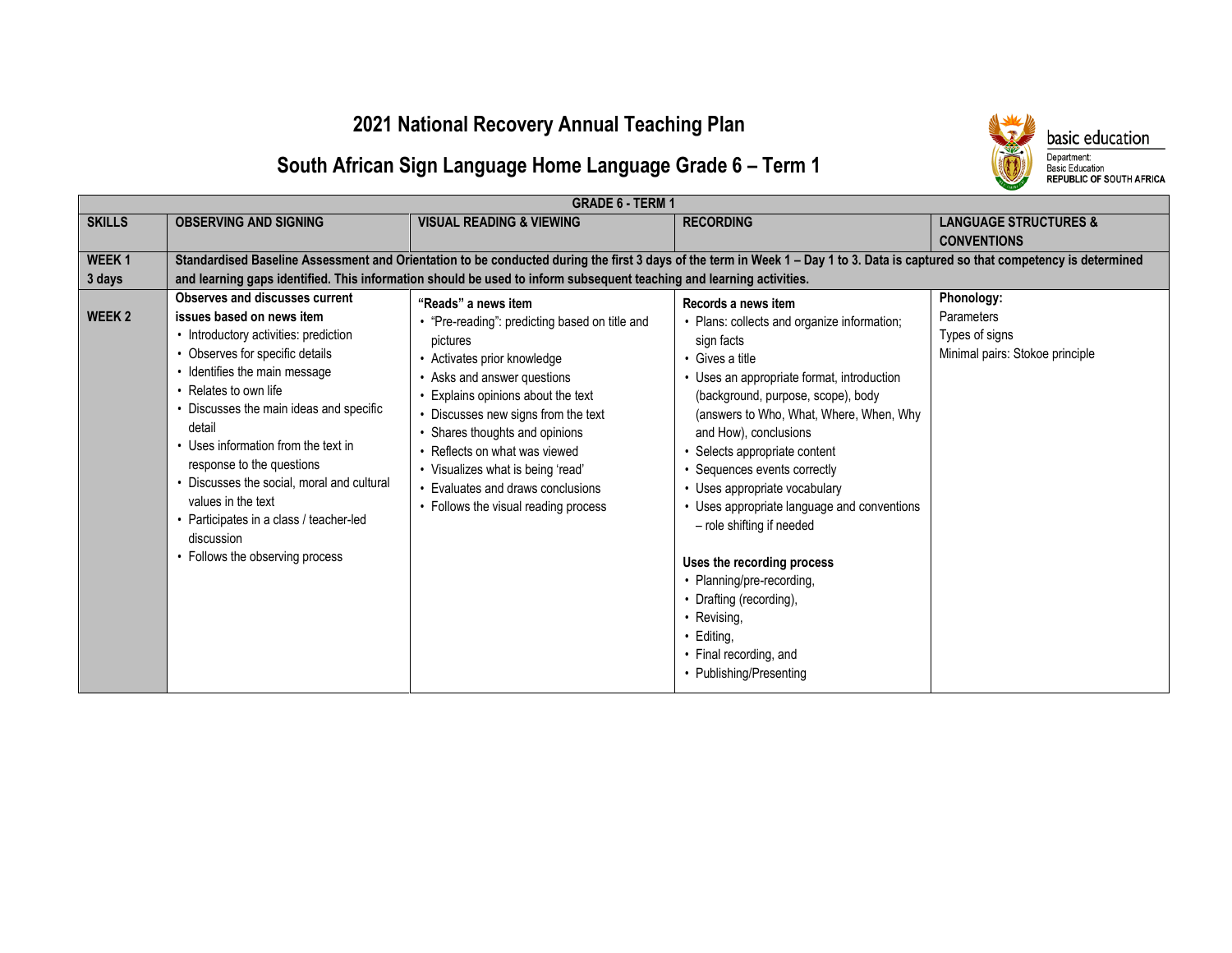### **2021 National Recovery Annual Teaching Plan**



## **South African Sign Language Home Language Grade 6 – Term 1**

| <b>SKILLS</b><br><b>OBSERVING AND SIGNING</b><br><b>VISUAL READING &amp; VIEWING</b><br><b>RECORDING</b><br><b>LANGUAGE STRUCTURES &amp;</b><br><b>CONVENTIONS</b><br>Standardised Baseline Assessment and Orientation to be conducted during the first 3 days of the term in Week 1 - Day 1 to 3. Data is captured so that competency is determined<br>WEEK <sub>1</sub><br>and learning gaps identified. This information should be used to inform subsequent teaching and learning activities.<br>3 days<br>Observes and discusses current<br>Phonology:<br>"Reads" a news item<br>Records a news item<br><b>WEEK2</b><br>issues based on news item<br><b>Parameters</b><br>"Pre-reading": predicting based on title and<br>• Plans: collects and organize information;                                                                                                                                                                                                                                                                                                                                                                                                                                                                                                     | <b>GRADE 6 - TERM 1</b>               |          |            |                |  |
|--------------------------------------------------------------------------------------------------------------------------------------------------------------------------------------------------------------------------------------------------------------------------------------------------------------------------------------------------------------------------------------------------------------------------------------------------------------------------------------------------------------------------------------------------------------------------------------------------------------------------------------------------------------------------------------------------------------------------------------------------------------------------------------------------------------------------------------------------------------------------------------------------------------------------------------------------------------------------------------------------------------------------------------------------------------------------------------------------------------------------------------------------------------------------------------------------------------------------------------------------------------------------------|---------------------------------------|----------|------------|----------------|--|
|                                                                                                                                                                                                                                                                                                                                                                                                                                                                                                                                                                                                                                                                                                                                                                                                                                                                                                                                                                                                                                                                                                                                                                                                                                                                                |                                       |          |            |                |  |
|                                                                                                                                                                                                                                                                                                                                                                                                                                                                                                                                                                                                                                                                                                                                                                                                                                                                                                                                                                                                                                                                                                                                                                                                                                                                                |                                       |          |            |                |  |
| • Observes for specific details<br>Minimal pairs: Stokoe principle<br>• Activates prior knowledge<br>• Gives a title<br>• Identifies the main message<br>• Uses an appropriate format, introduction<br>• Asks and answer questions<br>• Relates to own life<br>Explains opinions about the text<br>(background, purpose, scope), body<br>• Discusses the main ideas and specific<br>Discusses new signs from the text<br>(answers to Who, What, Where, When, Why<br>detail<br>Shares thoughts and opinions<br>and How), conclusions<br>• Uses information from the text in<br>Reflects on what was viewed<br>• Selects appropriate content<br>response to the questions<br>• Sequences events correctly<br>• Visualizes what is being 'read'<br>• Discusses the social, moral and cultural<br>• Evaluates and draws conclusions<br>• Uses appropriate vocabulary<br>values in the text<br>• Uses appropriate language and conventions<br>• Follows the visual reading process<br>• Participates in a class / teacher-led<br>- role shifting if needed<br>discussion<br>• Follows the observing process<br>Uses the recording process<br>• Planning/pre-recording,<br>• Drafting (recording),<br>• Revising,<br>• Editing,<br>• Final recording, and<br>• Publishing/Presenting | • Introductory activities: prediction | pictures | sign facts | Types of signs |  |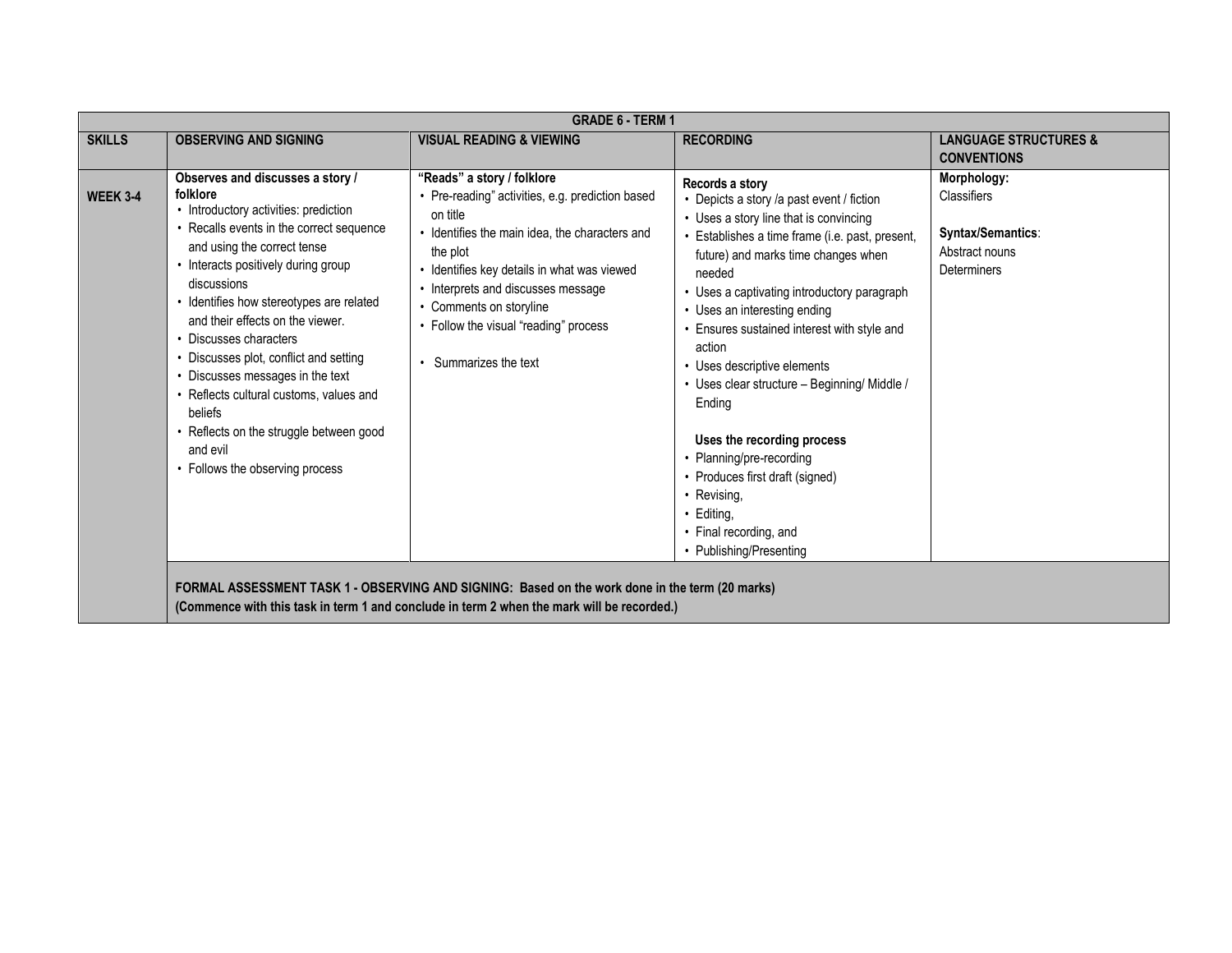|                 | <b>GRADE 6 - TERM 1</b>                                                                                                                                                                                                                                                                                                                                                                                                                                                                                                                                        |                                                                                                                                                                                                                                                                                                                                          |                                                                                                                                                                                                                                                                                                                                                                                                                                                                                                                                                                                                                          |                                                                                         |  |
|-----------------|----------------------------------------------------------------------------------------------------------------------------------------------------------------------------------------------------------------------------------------------------------------------------------------------------------------------------------------------------------------------------------------------------------------------------------------------------------------------------------------------------------------------------------------------------------------|------------------------------------------------------------------------------------------------------------------------------------------------------------------------------------------------------------------------------------------------------------------------------------------------------------------------------------------|--------------------------------------------------------------------------------------------------------------------------------------------------------------------------------------------------------------------------------------------------------------------------------------------------------------------------------------------------------------------------------------------------------------------------------------------------------------------------------------------------------------------------------------------------------------------------------------------------------------------------|-----------------------------------------------------------------------------------------|--|
| <b>SKILLS</b>   | <b>OBSERVING AND SIGNING</b>                                                                                                                                                                                                                                                                                                                                                                                                                                                                                                                                   | <b>VISUAL READING &amp; VIEWING</b>                                                                                                                                                                                                                                                                                                      | <b>RECORDING</b>                                                                                                                                                                                                                                                                                                                                                                                                                                                                                                                                                                                                         | <b>LANGUAGE STRUCTURES &amp;</b>                                                        |  |
|                 |                                                                                                                                                                                                                                                                                                                                                                                                                                                                                                                                                                |                                                                                                                                                                                                                                                                                                                                          |                                                                                                                                                                                                                                                                                                                                                                                                                                                                                                                                                                                                                          | <b>CONVENTIONS</b>                                                                      |  |
| <b>WEEK 3-4</b> | Observes and discusses a story /<br>folklore<br>• Introductory activities: prediction<br>• Recalls events in the correct sequence<br>and using the correct tense<br>• Interacts positively during group<br>discussions<br>• Identifies how stereotypes are related<br>and their effects on the viewer.<br>• Discusses characters<br>• Discusses plot, conflict and setting<br>• Discusses messages in the text<br>• Reflects cultural customs, values and<br>beliefs<br>• Reflects on the struggle between good<br>and evil<br>• Follows the observing process | "Reads" a story / folklore<br>• Pre-reading" activities, e.g. prediction based<br>on title<br>• Identifies the main idea, the characters and<br>the plot<br>· Identifies key details in what was viewed<br>• Interprets and discusses message<br>• Comments on storyline<br>• Follow the visual "reading" process<br>Summarizes the text | Records a story<br>• Depicts a story /a past event / fiction<br>• Uses a story line that is convincing<br>• Establishes a time frame (i.e. past, present,<br>future) and marks time changes when<br>needed<br>• Uses a captivating introductory paragraph<br>• Uses an interesting ending<br>Ensures sustained interest with style and<br>action<br>• Uses descriptive elements<br>• Uses clear structure - Beginning/ Middle /<br>Ending<br>Uses the recording process<br>• Planning/pre-recording<br>• Produces first draft (signed)<br>• Revising,<br>• Editing,<br>• Final recording, and<br>• Publishing/Presenting | Morphology:<br>Classifiers<br>Syntax/Semantics:<br>Abstract nouns<br><b>Determiners</b> |  |
|                 |                                                                                                                                                                                                                                                                                                                                                                                                                                                                                                                                                                | FORMAL ASSESSMENT TASK 1 - OBSERVING AND SIGNING: Based on the work done in the term (20 marks)<br>(Commence with this task in term 1 and conclude in term 2 when the mark will be recorded.)                                                                                                                                            |                                                                                                                                                                                                                                                                                                                                                                                                                                                                                                                                                                                                                          |                                                                                         |  |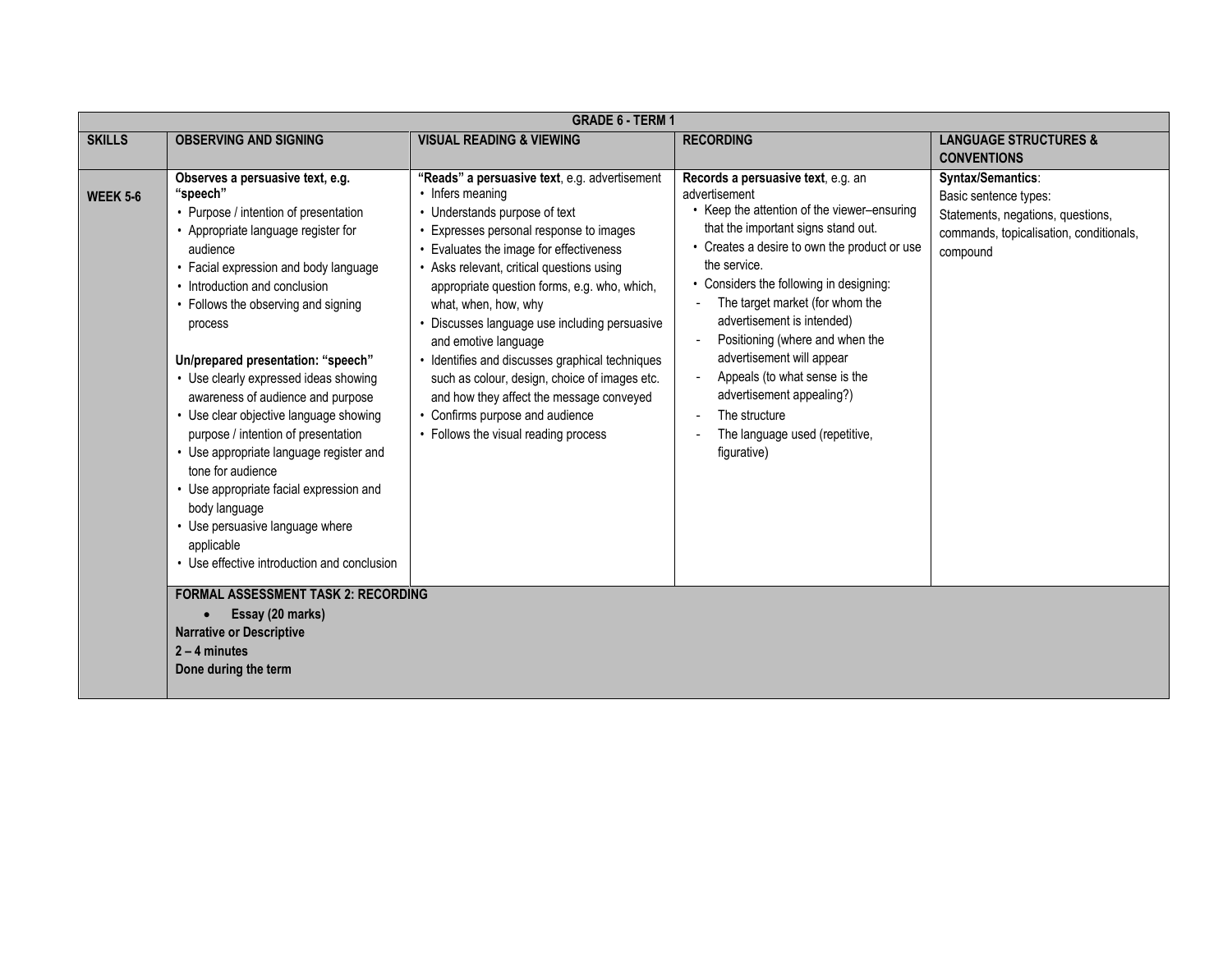|                 | <b>GRADE 6 - TERM 1</b>                                                                                                                                                                                                                                                                                                                                                                                                                                                                                                                                                                                                                                                                               |                                                                                                                                                                                                                                                                                                                                                                                                                                                                                                                                                                                                                   |                                                                                                                                                                                                                                                                                                                                                                                                                                                                                                                 |                                                                                                                                        |  |
|-----------------|-------------------------------------------------------------------------------------------------------------------------------------------------------------------------------------------------------------------------------------------------------------------------------------------------------------------------------------------------------------------------------------------------------------------------------------------------------------------------------------------------------------------------------------------------------------------------------------------------------------------------------------------------------------------------------------------------------|-------------------------------------------------------------------------------------------------------------------------------------------------------------------------------------------------------------------------------------------------------------------------------------------------------------------------------------------------------------------------------------------------------------------------------------------------------------------------------------------------------------------------------------------------------------------------------------------------------------------|-----------------------------------------------------------------------------------------------------------------------------------------------------------------------------------------------------------------------------------------------------------------------------------------------------------------------------------------------------------------------------------------------------------------------------------------------------------------------------------------------------------------|----------------------------------------------------------------------------------------------------------------------------------------|--|
| <b>SKILLS</b>   | <b>OBSERVING AND SIGNING</b>                                                                                                                                                                                                                                                                                                                                                                                                                                                                                                                                                                                                                                                                          | <b>VISUAL READING &amp; VIEWING</b>                                                                                                                                                                                                                                                                                                                                                                                                                                                                                                                                                                               | <b>RECORDING</b>                                                                                                                                                                                                                                                                                                                                                                                                                                                                                                | <b>LANGUAGE STRUCTURES &amp;</b>                                                                                                       |  |
|                 |                                                                                                                                                                                                                                                                                                                                                                                                                                                                                                                                                                                                                                                                                                       |                                                                                                                                                                                                                                                                                                                                                                                                                                                                                                                                                                                                                   |                                                                                                                                                                                                                                                                                                                                                                                                                                                                                                                 | <b>CONVENTIONS</b>                                                                                                                     |  |
| <b>WEEK 5-6</b> | Observes a persuasive text, e.g.<br>"speech"<br>• Purpose / intention of presentation<br>• Appropriate language register for<br>audience<br>• Facial expression and body language<br>• Introduction and conclusion<br>• Follows the observing and signing<br>process<br>Un/prepared presentation: "speech"<br>• Use clearly expressed ideas showing<br>awareness of audience and purpose<br>• Use clear objective language showing<br>purpose / intention of presentation<br>• Use appropriate language register and<br>tone for audience<br>• Use appropriate facial expression and<br>body language<br>• Use persuasive language where<br>applicable<br>• Use effective introduction and conclusion | "Reads" a persuasive text, e.g. advertisement<br>• Infers meaning<br>• Understands purpose of text<br>• Expresses personal response to images<br>• Evaluates the image for effectiveness<br>• Asks relevant, critical questions using<br>appropriate question forms, e.g. who, which,<br>what, when, how, why<br>• Discusses language use including persuasive<br>and emotive language<br>• Identifies and discusses graphical techniques<br>such as colour, design, choice of images etc.<br>and how they affect the message conveyed<br>• Confirms purpose and audience<br>• Follows the visual reading process | Records a persuasive text, e.g. an<br>advertisement<br>Keep the attention of the viewer-ensuring<br>that the important signs stand out.<br>Creates a desire to own the product or use<br>the service.<br>Considers the following in designing:<br>The target market (for whom the<br>advertisement is intended)<br>Positioning (where and when the<br>advertisement will appear<br>Appeals (to what sense is the<br>advertisement appealing?)<br>The structure<br>The language used (repetitive,<br>figurative) | Syntax/Semantics:<br>Basic sentence types:<br>Statements, negations, questions,<br>commands, topicalisation, conditionals,<br>compound |  |
|                 | <b>FORMAL ASSESSMENT TASK 2: RECORDING</b><br>Essay (20 marks)<br>$\bullet$<br><b>Narrative or Descriptive</b><br>$2 - 4$ minutes<br>Done during the term                                                                                                                                                                                                                                                                                                                                                                                                                                                                                                                                             |                                                                                                                                                                                                                                                                                                                                                                                                                                                                                                                                                                                                                   |                                                                                                                                                                                                                                                                                                                                                                                                                                                                                                                 |                                                                                                                                        |  |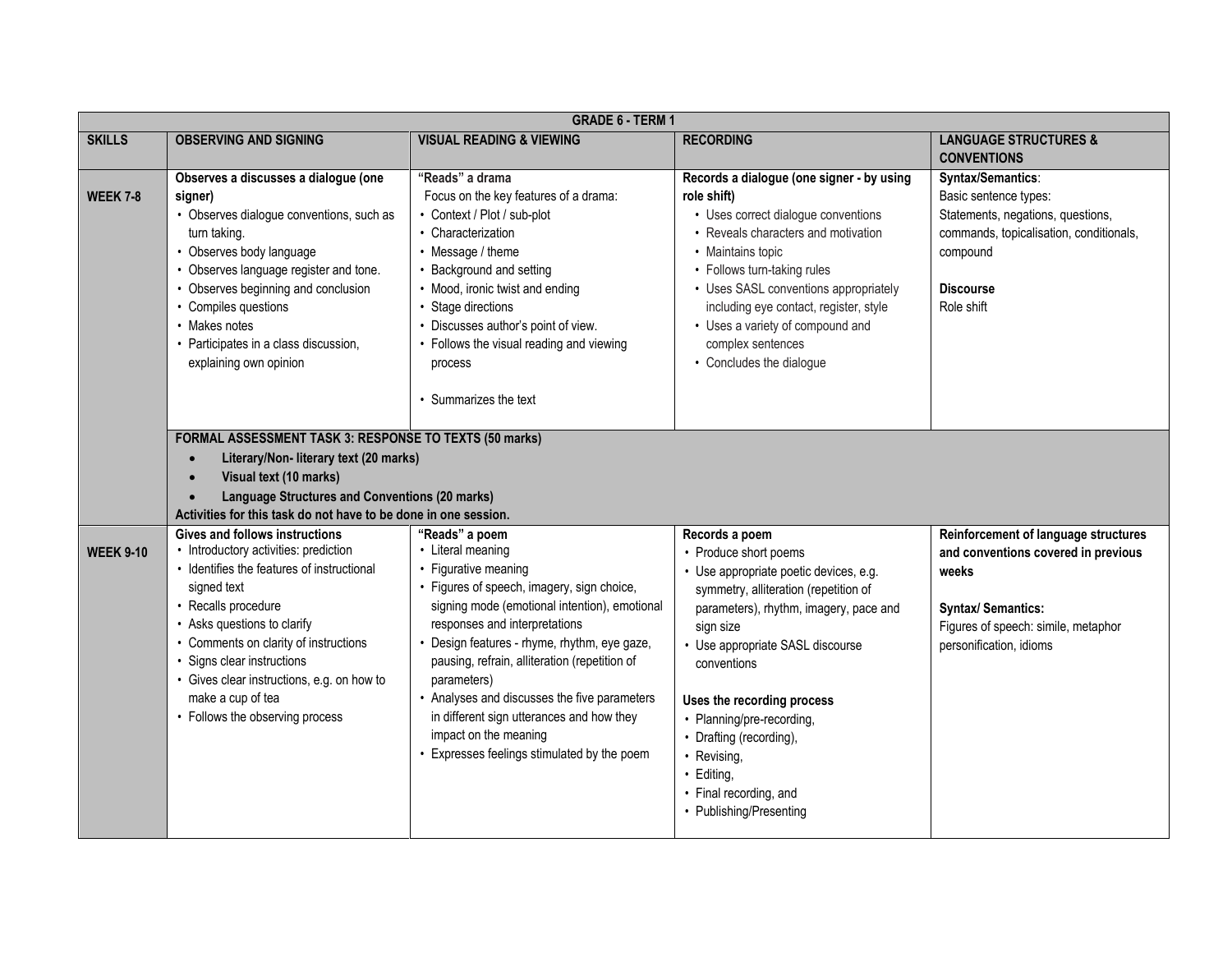|                  | <b>GRADE 6 - TERM 1</b>                                                                                                                                                                                                                                                                                                                                                        |                                                                                                                                                                                                                                                                                                                                                                                                                                                                                  |                                                                                                                                                                                                                                                                                                                                                                                                              |                                                                                                                                                                                     |  |
|------------------|--------------------------------------------------------------------------------------------------------------------------------------------------------------------------------------------------------------------------------------------------------------------------------------------------------------------------------------------------------------------------------|----------------------------------------------------------------------------------------------------------------------------------------------------------------------------------------------------------------------------------------------------------------------------------------------------------------------------------------------------------------------------------------------------------------------------------------------------------------------------------|--------------------------------------------------------------------------------------------------------------------------------------------------------------------------------------------------------------------------------------------------------------------------------------------------------------------------------------------------------------------------------------------------------------|-------------------------------------------------------------------------------------------------------------------------------------------------------------------------------------|--|
| <b>SKILLS</b>    | <b>OBSERVING AND SIGNING</b>                                                                                                                                                                                                                                                                                                                                                   | <b>VISUAL READING &amp; VIEWING</b>                                                                                                                                                                                                                                                                                                                                                                                                                                              | <b>RECORDING</b>                                                                                                                                                                                                                                                                                                                                                                                             | <b>LANGUAGE STRUCTURES &amp;</b><br><b>CONVENTIONS</b>                                                                                                                              |  |
| <b>WEEK 7-8</b>  | Observes a discusses a dialogue (one<br>signer)<br>• Observes dialogue conventions, such as<br>turn taking.<br>• Observes body language<br>• Observes language register and tone.<br>• Observes beginning and conclusion<br>• Compiles questions<br>• Makes notes<br>• Participates in a class discussion,<br>explaining own opinion                                           | "Reads" a drama<br>Focus on the key features of a drama:<br>• Context / Plot / sub-plot<br>• Characterization<br>• Message / theme<br>• Background and setting<br>• Mood, ironic twist and ending<br>• Stage directions<br>• Discusses author's point of view.<br>• Follows the visual reading and viewing<br>process<br>• Summarizes the text                                                                                                                                   | Records a dialogue (one signer - by using<br>role shift)<br>• Uses correct dialogue conventions<br>• Reveals characters and motivation<br>• Maintains topic<br>• Follows turn-taking rules<br>• Uses SASL conventions appropriately<br>including eye contact, register, style<br>• Uses a variety of compound and<br>complex sentences<br>• Concludes the dialogue                                           | Syntax/Semantics:<br>Basic sentence types:<br>Statements, negations, questions,<br>commands, topicalisation, conditionals,<br>compound<br><b>Discourse</b><br>Role shift            |  |
|                  | FORMAL ASSESSMENT TASK 3: RESPONSE TO TEXTS (50 marks)<br>Literary/Non- literary text (20 marks)<br>Visual text (10 marks)<br><b>Language Structures and Conventions (20 marks)</b><br>Activities for this task do not have to be done in one session.                                                                                                                         |                                                                                                                                                                                                                                                                                                                                                                                                                                                                                  |                                                                                                                                                                                                                                                                                                                                                                                                              |                                                                                                                                                                                     |  |
| <b>WEEK 9-10</b> | <b>Gives and follows instructions</b><br>• Introductory activities: prediction<br>• Identifies the features of instructional<br>signed text<br>• Recalls procedure<br>• Asks questions to clarify<br>• Comments on clarity of instructions<br>· Signs clear instructions<br>• Gives clear instructions, e.g. on how to<br>make a cup of tea<br>• Follows the observing process | "Reads" a poem<br>• Literal meaning<br>• Figurative meaning<br>• Figures of speech, imagery, sign choice,<br>signing mode (emotional intention), emotional<br>responses and interpretations<br>• Design features - rhyme, rhythm, eye gaze,<br>pausing, refrain, alliteration (repetition of<br>parameters)<br>• Analyses and discusses the five parameters<br>in different sign utterances and how they<br>impact on the meaning<br>• Expresses feelings stimulated by the poem | Records a poem<br>• Produce short poems<br>· Use appropriate poetic devices, e.g.<br>symmetry, alliteration (repetition of<br>parameters), rhythm, imagery, pace and<br>sign size<br>• Use appropriate SASL discourse<br>conventions<br>Uses the recording process<br>• Planning/pre-recording,<br>• Drafting (recording),<br>• Revising,<br>· Editing,<br>• Final recording, and<br>• Publishing/Presenting | Reinforcement of language structures<br>and conventions covered in previous<br>weeks<br><b>Syntax/ Semantics:</b><br>Figures of speech: simile, metaphor<br>personification, idioms |  |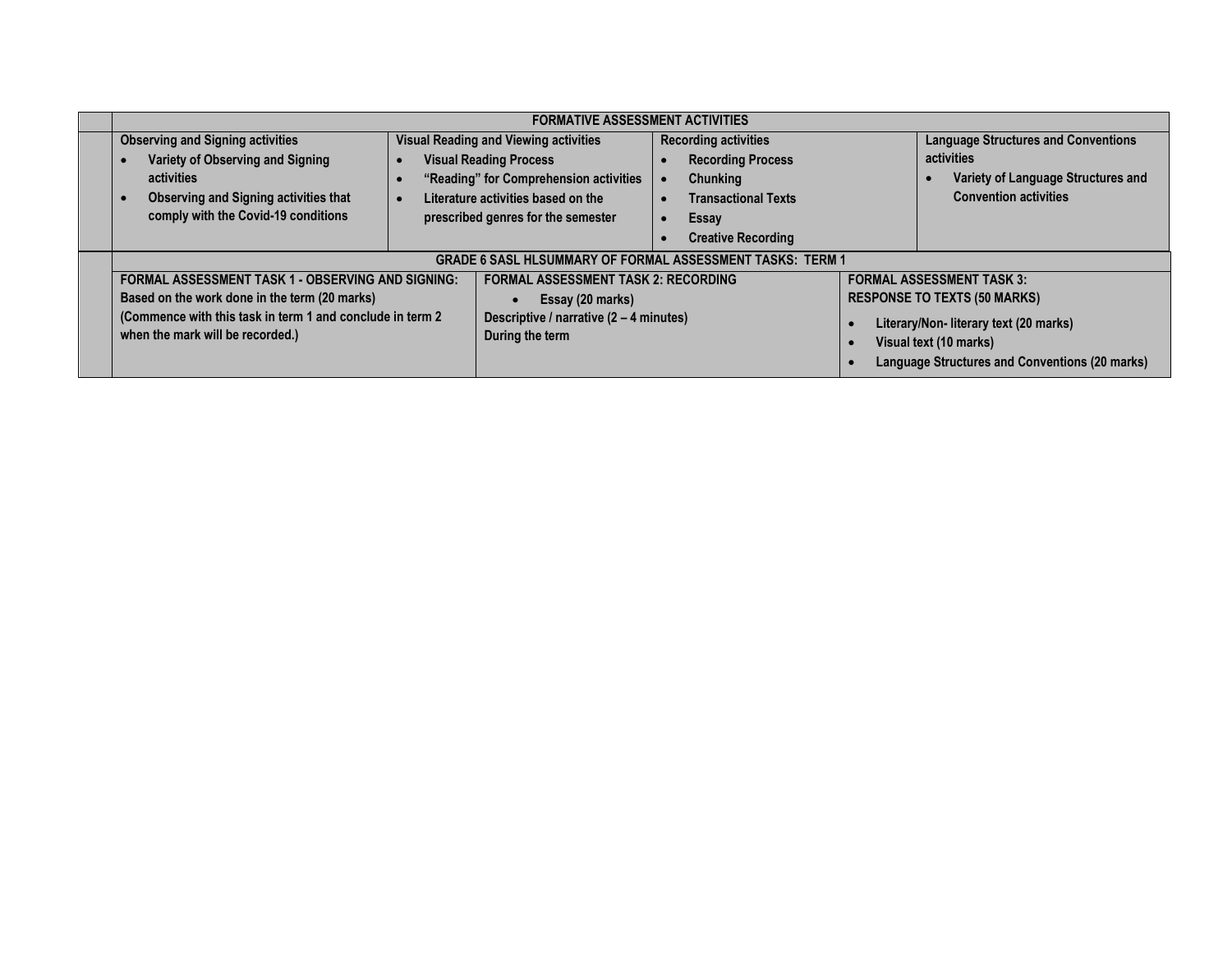| <b>FORMATIVE ASSESSMENT ACTIVITIES</b>                                                                                                                      |  |                                                                                                                                                               |  |                                                                                                          |                                                                                                                    |                                                                                                                                |
|-------------------------------------------------------------------------------------------------------------------------------------------------------------|--|---------------------------------------------------------------------------------------------------------------------------------------------------------------|--|----------------------------------------------------------------------------------------------------------|--------------------------------------------------------------------------------------------------------------------|--------------------------------------------------------------------------------------------------------------------------------|
| <b>Observing and Signing activities</b><br>Variety of Observing and Signing<br>activities<br><b>Observing and Signing activities that</b>                   |  | <b>Visual Reading and Viewing activities</b><br><b>Visual Reading Process</b><br>"Reading" for Comprehension activities<br>Literature activities based on the |  | <b>Recording activities</b><br><b>Recording Process</b><br><b>Chunking</b><br><b>Transactional Texts</b> |                                                                                                                    | <b>Language Structures and Conventions</b><br>activities<br>Variety of Language Structures and<br><b>Convention activities</b> |
| comply with the Covid-19 conditions                                                                                                                         |  | prescribed genres for the semester                                                                                                                            |  | Essay<br><b>Creative Recording</b>                                                                       |                                                                                                                    |                                                                                                                                |
|                                                                                                                                                             |  | <b>GRADE 6 SASL HLSUMMARY OF FORMAL ASSESSMENT TASKS: TERM 1</b>                                                                                              |  |                                                                                                          |                                                                                                                    |                                                                                                                                |
| <b>FORMAL ASSESSMENT TASK 1 - OBSERVING AND SIGNING:</b>                                                                                                    |  | <b>FORMAL ASSESSMENT TASK 2: RECORDING</b>                                                                                                                    |  |                                                                                                          | <b>FORMAL ASSESSMENT TASK 3:</b>                                                                                   |                                                                                                                                |
| Based on the work done in the term (20 marks)                                                                                                               |  | Essay (20 marks)                                                                                                                                              |  |                                                                                                          | <b>RESPONSE TO TEXTS (50 MARKS)</b>                                                                                |                                                                                                                                |
| (Commence with this task in term 1 and conclude in term 2<br>Descriptive / narrative (2 - 4 minutes)<br>when the mark will be recorded.)<br>During the term |  |                                                                                                                                                               |  |                                                                                                          | Literary/Non- literary text (20 marks)<br>Visual text (10 marks)<br>Language Structures and Conventions (20 marks) |                                                                                                                                |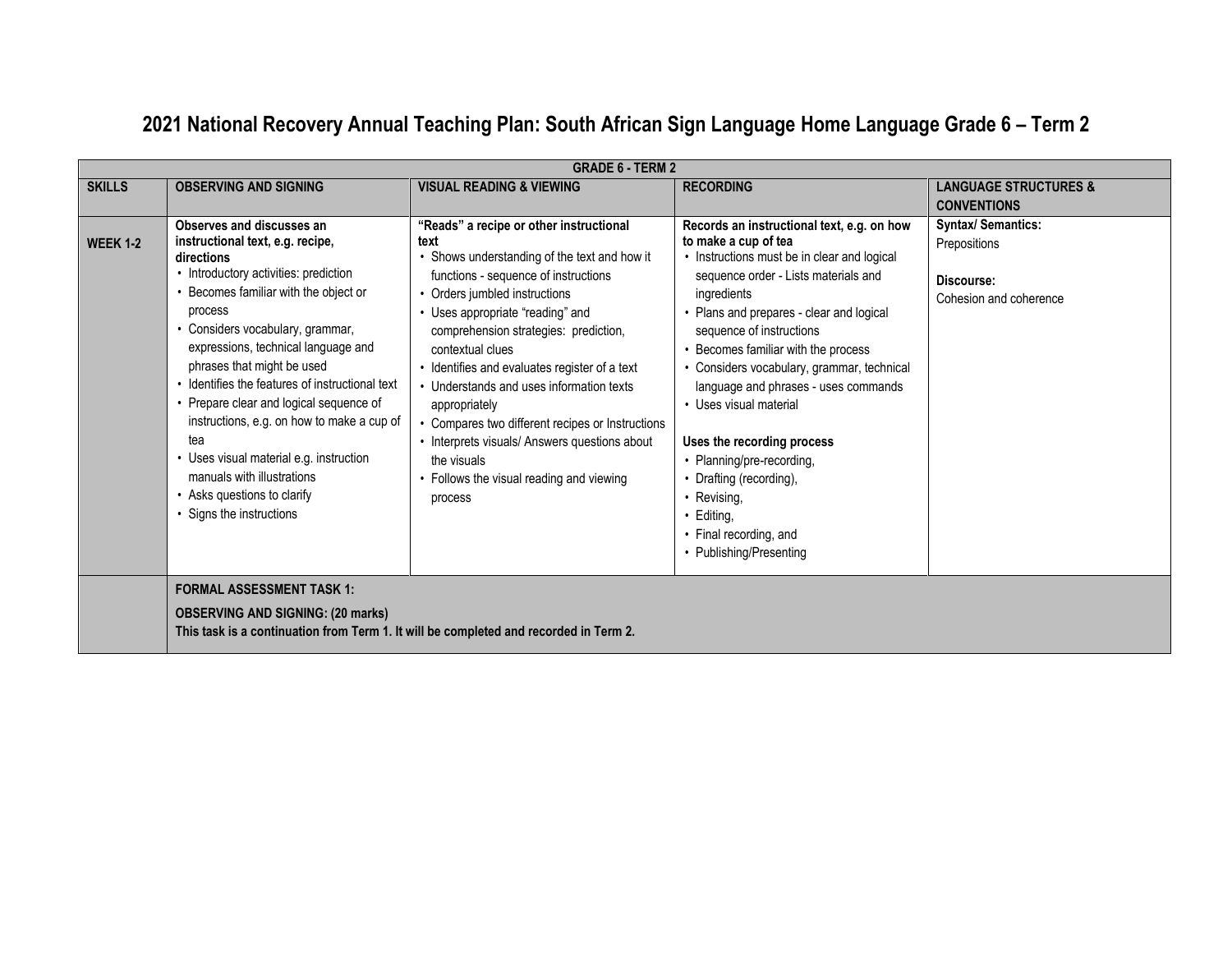|                 | <b>GRADE 6 - TERM 2</b>                                                                                                                                                                                                                                                                                                                                                                                                                                                                                                                                                |                                                                                                                                                                                                                                                                                                                                                                                                                                                                                                                                                                  |                                                                                                                                                                                                                                                                                                                                                                                                                                                                                                                                                                                 |                                                                           |  |
|-----------------|------------------------------------------------------------------------------------------------------------------------------------------------------------------------------------------------------------------------------------------------------------------------------------------------------------------------------------------------------------------------------------------------------------------------------------------------------------------------------------------------------------------------------------------------------------------------|------------------------------------------------------------------------------------------------------------------------------------------------------------------------------------------------------------------------------------------------------------------------------------------------------------------------------------------------------------------------------------------------------------------------------------------------------------------------------------------------------------------------------------------------------------------|---------------------------------------------------------------------------------------------------------------------------------------------------------------------------------------------------------------------------------------------------------------------------------------------------------------------------------------------------------------------------------------------------------------------------------------------------------------------------------------------------------------------------------------------------------------------------------|---------------------------------------------------------------------------|--|
| <b>SKILLS</b>   | <b>OBSERVING AND SIGNING</b>                                                                                                                                                                                                                                                                                                                                                                                                                                                                                                                                           | <b>VISUAL READING &amp; VIEWING</b>                                                                                                                                                                                                                                                                                                                                                                                                                                                                                                                              | <b>RECORDING</b>                                                                                                                                                                                                                                                                                                                                                                                                                                                                                                                                                                | <b>LANGUAGE STRUCTURES &amp;</b><br><b>CONVENTIONS</b>                    |  |
| <b>WEEK 1-2</b> | Observes and discusses an<br>instructional text, e.g. recipe,<br>directions<br>• Introductory activities: prediction<br>Becomes familiar with the object or<br>process<br>• Considers vocabulary, grammar,<br>expressions, technical language and<br>phrases that might be used<br>• Identifies the features of instructional text<br>• Prepare clear and logical sequence of<br>instructions, e.g. on how to make a cup of<br>tea<br>• Uses visual material e.g. instruction<br>manuals with illustrations<br>• Asks questions to clarify<br>• Signs the instructions | "Reads" a recipe or other instructional<br>text<br>Shows understanding of the text and how it<br>functions - sequence of instructions<br>• Orders jumbled instructions<br>• Uses appropriate "reading" and<br>comprehension strategies: prediction,<br>contextual clues<br>• Identifies and evaluates register of a text<br>• Understands and uses information texts<br>appropriately<br>• Compares two different recipes or Instructions<br>• Interprets visuals/ Answers questions about<br>the visuals<br>• Follows the visual reading and viewing<br>process | Records an instructional text, e.g. on how<br>to make a cup of tea<br>• Instructions must be in clear and logical<br>sequence order - Lists materials and<br>ingredients<br>• Plans and prepares - clear and logical<br>sequence of instructions<br>• Becomes familiar with the process<br>• Considers vocabulary, grammar, technical<br>language and phrases - uses commands<br>• Uses visual material<br>Uses the recording process<br>• Planning/pre-recording,<br>• Drafting (recording),<br>• Revising,<br>• Editing,<br>• Final recording, and<br>• Publishing/Presenting | Syntax/Semantics:<br>Prepositions<br>Discourse:<br>Cohesion and coherence |  |
|                 | <b>FORMAL ASSESSMENT TASK 1:</b><br><b>OBSERVING AND SIGNING: (20 marks)</b><br>This task is a continuation from Term 1. It will be completed and recorded in Term 2.                                                                                                                                                                                                                                                                                                                                                                                                  |                                                                                                                                                                                                                                                                                                                                                                                                                                                                                                                                                                  |                                                                                                                                                                                                                                                                                                                                                                                                                                                                                                                                                                                 |                                                                           |  |

# **2021 National Recovery Annual Teaching Plan: South African Sign Language Home Language Grade 6 – Term 2**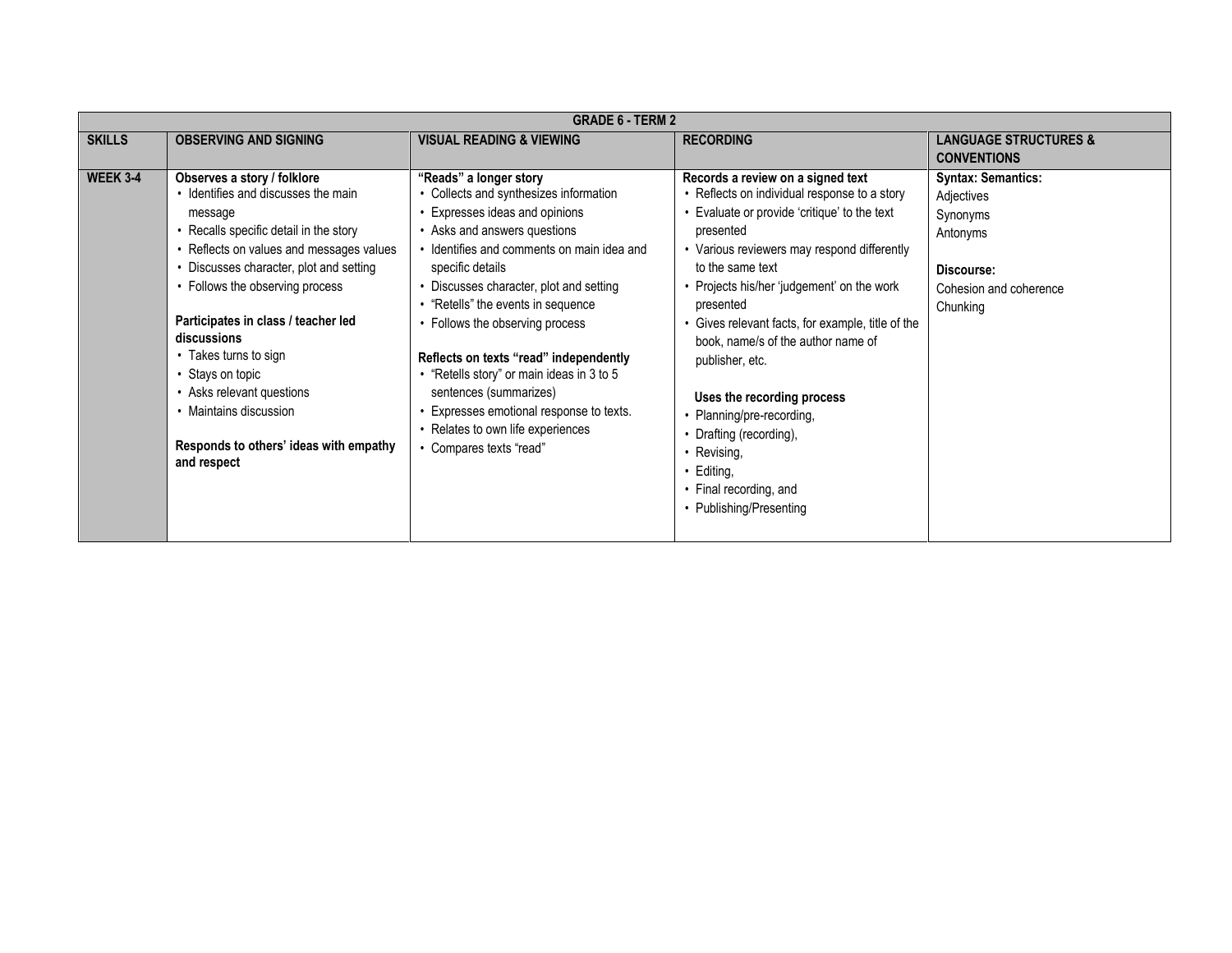|                 | <b>GRADE 6 - TERM 2</b>                                                                                                                                                                                                                                                                                                                                                                                                                                              |                                                                                                                                                                                                                                                                                                                                                                                                                                                                                                                                               |                                                                                                                                                                                                                                                                                                                                                                                                                                                                                                                                                                |                                                                                                                     |  |  |
|-----------------|----------------------------------------------------------------------------------------------------------------------------------------------------------------------------------------------------------------------------------------------------------------------------------------------------------------------------------------------------------------------------------------------------------------------------------------------------------------------|-----------------------------------------------------------------------------------------------------------------------------------------------------------------------------------------------------------------------------------------------------------------------------------------------------------------------------------------------------------------------------------------------------------------------------------------------------------------------------------------------------------------------------------------------|----------------------------------------------------------------------------------------------------------------------------------------------------------------------------------------------------------------------------------------------------------------------------------------------------------------------------------------------------------------------------------------------------------------------------------------------------------------------------------------------------------------------------------------------------------------|---------------------------------------------------------------------------------------------------------------------|--|--|
| <b>SKILLS</b>   | <b>OBSERVING AND SIGNING</b>                                                                                                                                                                                                                                                                                                                                                                                                                                         | <b>VISUAL READING &amp; VIEWING</b>                                                                                                                                                                                                                                                                                                                                                                                                                                                                                                           | <b>RECORDING</b>                                                                                                                                                                                                                                                                                                                                                                                                                                                                                                                                               | <b>LANGUAGE STRUCTURES &amp;</b>                                                                                    |  |  |
|                 |                                                                                                                                                                                                                                                                                                                                                                                                                                                                      |                                                                                                                                                                                                                                                                                                                                                                                                                                                                                                                                               |                                                                                                                                                                                                                                                                                                                                                                                                                                                                                                                                                                | <b>CONVENTIONS</b>                                                                                                  |  |  |
| <b>WEEK 3-4</b> | Observes a story / folklore<br>• Identifies and discusses the main<br>message<br>• Recalls specific detail in the story<br>• Reflects on values and messages values<br>• Discusses character, plot and setting<br>• Follows the observing process<br>Participates in class / teacher led<br>discussions<br>• Takes turns to sign<br>• Stays on topic<br>• Asks relevant questions<br>• Maintains discussion<br>Responds to others' ideas with empathy<br>and respect | "Reads" a longer story<br>• Collects and synthesizes information<br>Expresses ideas and opinions<br>• Asks and answers questions<br>· Identifies and comments on main idea and<br>specific details<br>• Discusses character, plot and setting<br>• "Retells" the events in sequence<br>Follows the observing process<br>Reflects on texts "read" independently<br>• "Retells story" or main ideas in 3 to 5<br>sentences (summarizes)<br>Expresses emotional response to texts.<br>Relates to own life experiences<br>• Compares texts "read" | Records a review on a signed text<br>• Reflects on individual response to a story<br>• Evaluate or provide 'critique' to the text<br>presented<br>• Various reviewers may respond differently<br>to the same text<br>• Projects his/her 'judgement' on the work<br>presented<br>• Gives relevant facts, for example, title of the<br>book, name/s of the author name of<br>publisher, etc.<br>Uses the recording process<br>Planning/pre-recording,<br>Drafting (recording),<br>• Revising,<br>• Editing,<br>• Final recording, and<br>• Publishing/Presenting | <b>Syntax: Semantics:</b><br>Adjectives<br>Synonyms<br>Antonyms<br>Discourse:<br>Cohesion and coherence<br>Chunking |  |  |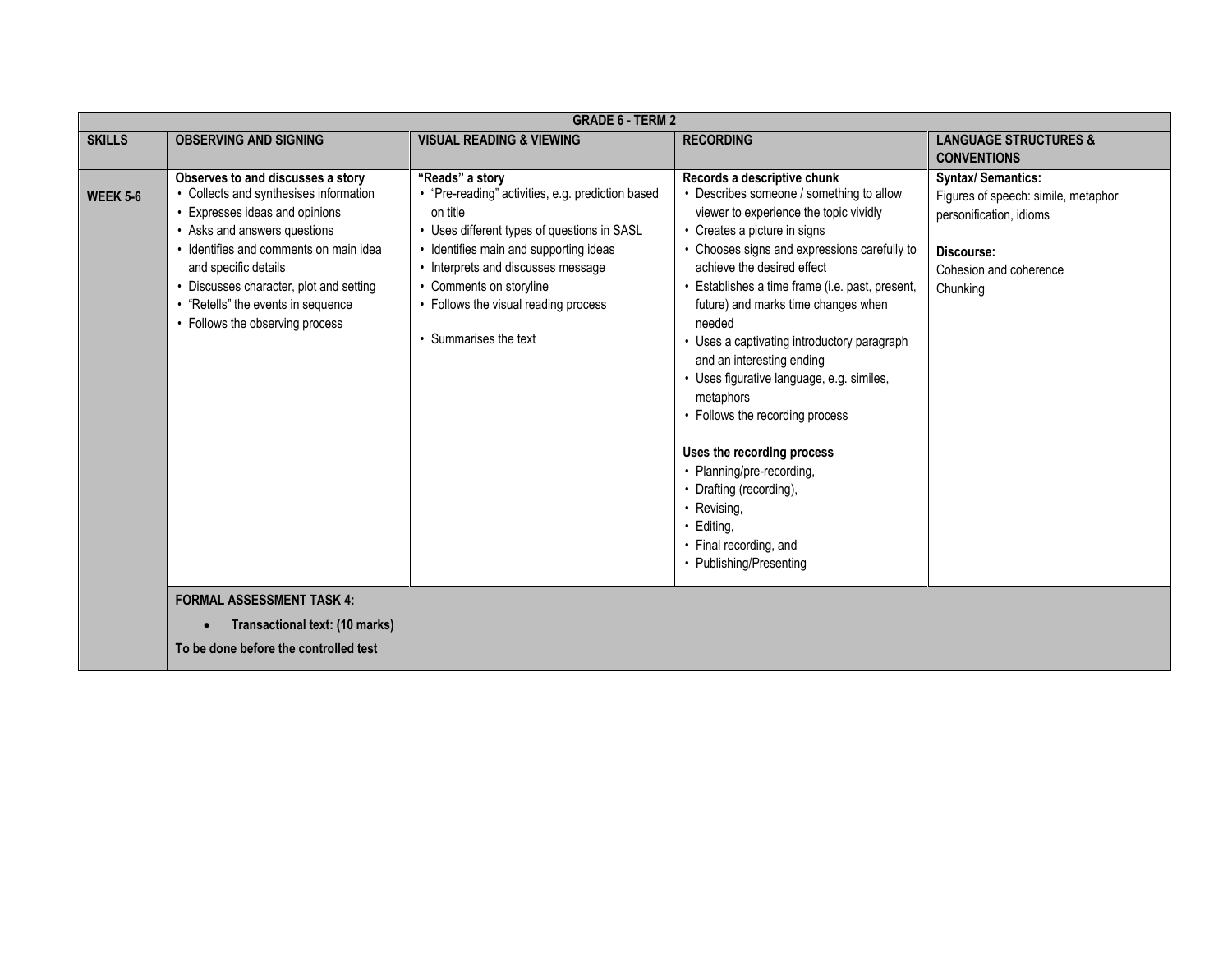|                 | <b>GRADE 6 - TERM 2</b>                                                                                                                                                                                                                                                                                                           |                                                                                                                                                                                                                                                                                                             |                                                                                                                                                                                                                                                                                                                                                                                                                                                                                                                                                                                                                                                                                      |                                                                                                                                                 |  |  |
|-----------------|-----------------------------------------------------------------------------------------------------------------------------------------------------------------------------------------------------------------------------------------------------------------------------------------------------------------------------------|-------------------------------------------------------------------------------------------------------------------------------------------------------------------------------------------------------------------------------------------------------------------------------------------------------------|--------------------------------------------------------------------------------------------------------------------------------------------------------------------------------------------------------------------------------------------------------------------------------------------------------------------------------------------------------------------------------------------------------------------------------------------------------------------------------------------------------------------------------------------------------------------------------------------------------------------------------------------------------------------------------------|-------------------------------------------------------------------------------------------------------------------------------------------------|--|--|
| <b>SKILLS</b>   | <b>OBSERVING AND SIGNING</b>                                                                                                                                                                                                                                                                                                      | <b>VISUAL READING &amp; VIEWING</b>                                                                                                                                                                                                                                                                         | <b>RECORDING</b>                                                                                                                                                                                                                                                                                                                                                                                                                                                                                                                                                                                                                                                                     | <b>LANGUAGE STRUCTURES &amp;</b><br><b>CONVENTIONS</b>                                                                                          |  |  |
| <b>WEEK 5-6</b> | Observes to and discusses a story<br>• Collects and synthesises information<br>Expresses ideas and opinions<br>• Asks and answers questions<br>· Identifies and comments on main idea<br>and specific details<br>• Discusses character, plot and setting<br>• "Retells" the events in sequence<br>• Follows the observing process | "Reads" a story<br>• "Pre-reading" activities, e.g. prediction based<br>on title<br>• Uses different types of questions in SASL<br>• Identifies main and supporting ideas<br>• Interprets and discusses message<br>• Comments on storyline<br>• Follows the visual reading process<br>• Summarises the text | Records a descriptive chunk<br>• Describes someone / something to allow<br>viewer to experience the topic vividly<br>• Creates a picture in signs<br>• Chooses signs and expressions carefully to<br>achieve the desired effect<br>· Establishes a time frame (i.e. past, present,<br>future) and marks time changes when<br>needed<br>• Uses a captivating introductory paragraph<br>and an interesting ending<br>• Uses figurative language, e.g. similes,<br>metaphors<br>• Follows the recording process<br>Uses the recording process<br>• Planning/pre-recording,<br>• Drafting (recording),<br>• Revising,<br>· Editing,<br>• Final recording, and<br>• Publishing/Presenting | <b>Syntax/ Semantics:</b><br>Figures of speech: simile, metaphor<br>personification, idioms<br>Discourse:<br>Cohesion and coherence<br>Chunking |  |  |
|                 | <b>FORMAL ASSESSMENT TASK 4:</b><br>Transactional text: (10 marks)<br>To be done before the controlled test                                                                                                                                                                                                                       |                                                                                                                                                                                                                                                                                                             |                                                                                                                                                                                                                                                                                                                                                                                                                                                                                                                                                                                                                                                                                      |                                                                                                                                                 |  |  |
|                 |                                                                                                                                                                                                                                                                                                                                   |                                                                                                                                                                                                                                                                                                             |                                                                                                                                                                                                                                                                                                                                                                                                                                                                                                                                                                                                                                                                                      |                                                                                                                                                 |  |  |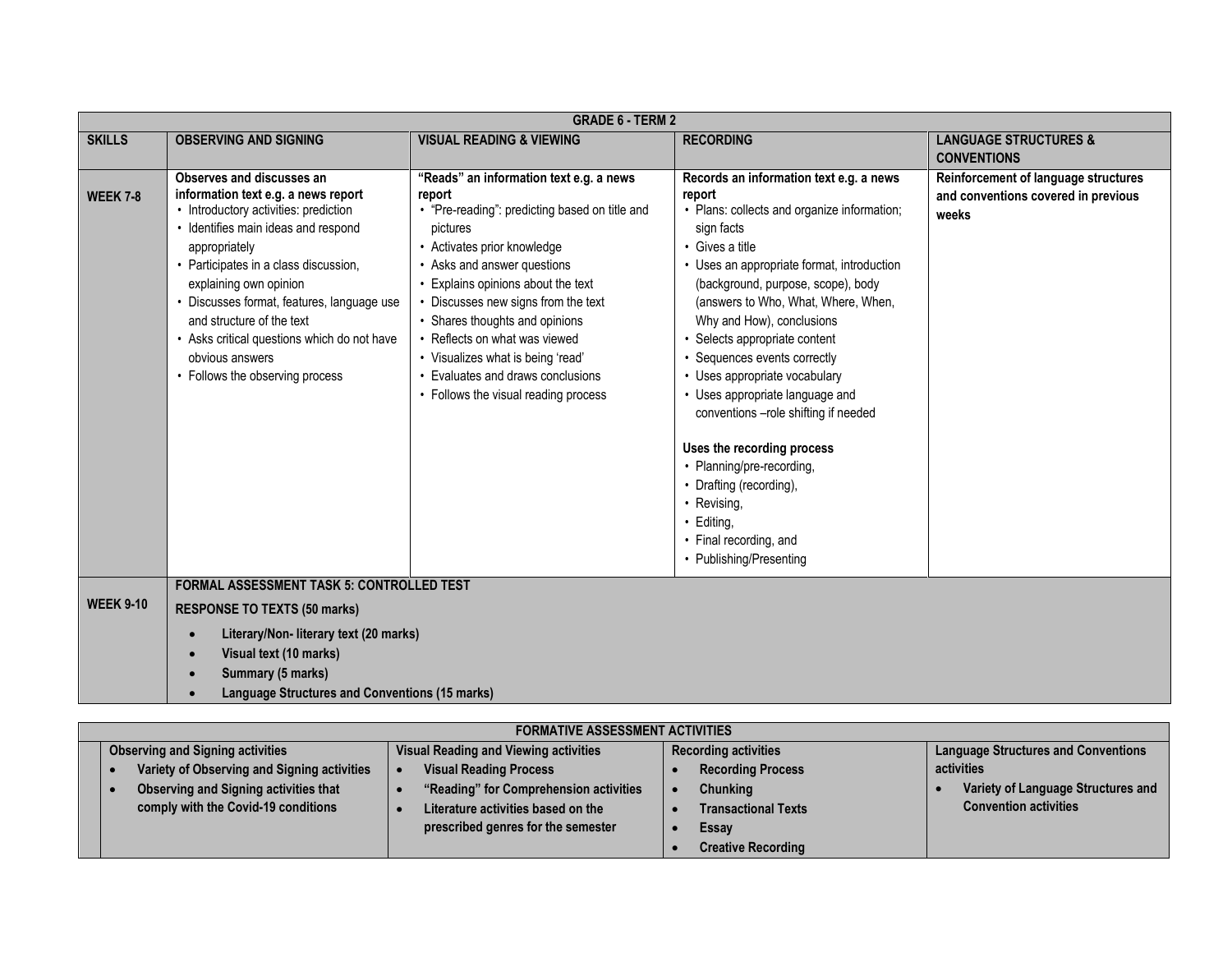|                  | <b>GRADE 6 - TERM 2</b>                                                                                                                                                                                                                                                                                                                                                                                              |                                                                                                                                                                                                                                                                                                                                                                                                                                         |                                                                                                                                                                                                                                                                                                                                                                                                                                                                                                                                                                                                                                                |                                                                                      |  |  |
|------------------|----------------------------------------------------------------------------------------------------------------------------------------------------------------------------------------------------------------------------------------------------------------------------------------------------------------------------------------------------------------------------------------------------------------------|-----------------------------------------------------------------------------------------------------------------------------------------------------------------------------------------------------------------------------------------------------------------------------------------------------------------------------------------------------------------------------------------------------------------------------------------|------------------------------------------------------------------------------------------------------------------------------------------------------------------------------------------------------------------------------------------------------------------------------------------------------------------------------------------------------------------------------------------------------------------------------------------------------------------------------------------------------------------------------------------------------------------------------------------------------------------------------------------------|--------------------------------------------------------------------------------------|--|--|
| <b>SKILLS</b>    | <b>OBSERVING AND SIGNING</b>                                                                                                                                                                                                                                                                                                                                                                                         | <b>VISUAL READING &amp; VIEWING</b>                                                                                                                                                                                                                                                                                                                                                                                                     | <b>RECORDING</b>                                                                                                                                                                                                                                                                                                                                                                                                                                                                                                                                                                                                                               | <b>LANGUAGE STRUCTURES &amp;</b>                                                     |  |  |
|                  |                                                                                                                                                                                                                                                                                                                                                                                                                      |                                                                                                                                                                                                                                                                                                                                                                                                                                         |                                                                                                                                                                                                                                                                                                                                                                                                                                                                                                                                                                                                                                                | <b>CONVENTIONS</b>                                                                   |  |  |
| <b>WEEK 7-8</b>  | Observes and discusses an<br>information text e.g. a news report<br>• Introductory activities: prediction<br>· Identifies main ideas and respond<br>appropriately<br>• Participates in a class discussion,<br>explaining own opinion<br>• Discusses format, features, language use<br>and structure of the text<br>• Asks critical questions which do not have<br>obvious answers<br>• Follows the observing process | "Reads" an information text e.g. a news<br>report<br>• "Pre-reading": predicting based on title and<br>pictures<br>• Activates prior knowledge<br>• Asks and answer questions<br>Explains opinions about the text<br>Discusses new signs from the text<br>• Shares thoughts and opinions<br>Reflects on what was viewed<br>• Visualizes what is being 'read'<br>Evaluates and draws conclusions<br>• Follows the visual reading process | Records an information text e.g. a news<br>report<br>• Plans: collects and organize information;<br>sign facts<br>• Gives a title<br>• Uses an appropriate format, introduction<br>(background, purpose, scope), body<br>(answers to Who, What, Where, When,<br>Why and How), conclusions<br>• Selects appropriate content<br>• Sequences events correctly<br>• Uses appropriate vocabulary<br>• Uses appropriate language and<br>conventions -role shifting if needed<br>Uses the recording process<br>• Planning/pre-recording,<br>• Drafting (recording),<br>• Revising,<br>· Editing,<br>• Final recording, and<br>• Publishing/Presenting | Reinforcement of language structures<br>and conventions covered in previous<br>weeks |  |  |
|                  | <b>FORMAL ASSESSMENT TASK 5: CONTROLLED TEST</b>                                                                                                                                                                                                                                                                                                                                                                     |                                                                                                                                                                                                                                                                                                                                                                                                                                         |                                                                                                                                                                                                                                                                                                                                                                                                                                                                                                                                                                                                                                                |                                                                                      |  |  |
| <b>WEEK 9-10</b> | <b>RESPONSE TO TEXTS (50 marks)</b>                                                                                                                                                                                                                                                                                                                                                                                  |                                                                                                                                                                                                                                                                                                                                                                                                                                         |                                                                                                                                                                                                                                                                                                                                                                                                                                                                                                                                                                                                                                                |                                                                                      |  |  |
|                  | Literary/Non- literary text (20 marks)<br>$\bullet$                                                                                                                                                                                                                                                                                                                                                                  |                                                                                                                                                                                                                                                                                                                                                                                                                                         |                                                                                                                                                                                                                                                                                                                                                                                                                                                                                                                                                                                                                                                |                                                                                      |  |  |
|                  | Visual text (10 marks)<br>$\bullet$                                                                                                                                                                                                                                                                                                                                                                                  |                                                                                                                                                                                                                                                                                                                                                                                                                                         |                                                                                                                                                                                                                                                                                                                                                                                                                                                                                                                                                                                                                                                |                                                                                      |  |  |
|                  | Summary (5 marks)<br>$\bullet$                                                                                                                                                                                                                                                                                                                                                                                       |                                                                                                                                                                                                                                                                                                                                                                                                                                         |                                                                                                                                                                                                                                                                                                                                                                                                                                                                                                                                                                                                                                                |                                                                                      |  |  |
|                  | <b>Language Structures and Conventions (15 marks)</b>                                                                                                                                                                                                                                                                                                                                                                |                                                                                                                                                                                                                                                                                                                                                                                                                                         |                                                                                                                                                                                                                                                                                                                                                                                                                                                                                                                                                                                                                                                |                                                                                      |  |  |
|                  |                                                                                                                                                                                                                                                                                                                                                                                                                      |                                                                                                                                                                                                                                                                                                                                                                                                                                         |                                                                                                                                                                                                                                                                                                                                                                                                                                                                                                                                                                                                                                                |                                                                                      |  |  |

| <b>FORMATIVE ASSESSMENT ACTIVITIES</b>      |                                        |                             |                                            |  |  |
|---------------------------------------------|----------------------------------------|-----------------------------|--------------------------------------------|--|--|
| <b>Observing and Signing activities</b>     | Visual Reading and Viewing activities  | <b>Recording activities</b> | <b>Language Structures and Conventions</b> |  |  |
| Variety of Observing and Signing activities | <b>Visual Reading Process</b>          | <b>Recording Process</b>    | activities                                 |  |  |
| Observing and Signing activities that       | "Reading" for Comprehension activities | <b>Chunking</b>             | Variety of Language Structures and         |  |  |
| comply with the Covid-19 conditions         | Literature activities based on the     | <b>Transactional Texts</b>  | <b>Convention activities</b>               |  |  |
|                                             | prescribed genres for the semester     | Essay                       |                                            |  |  |
|                                             |                                        | <b>Creative Recording</b>   |                                            |  |  |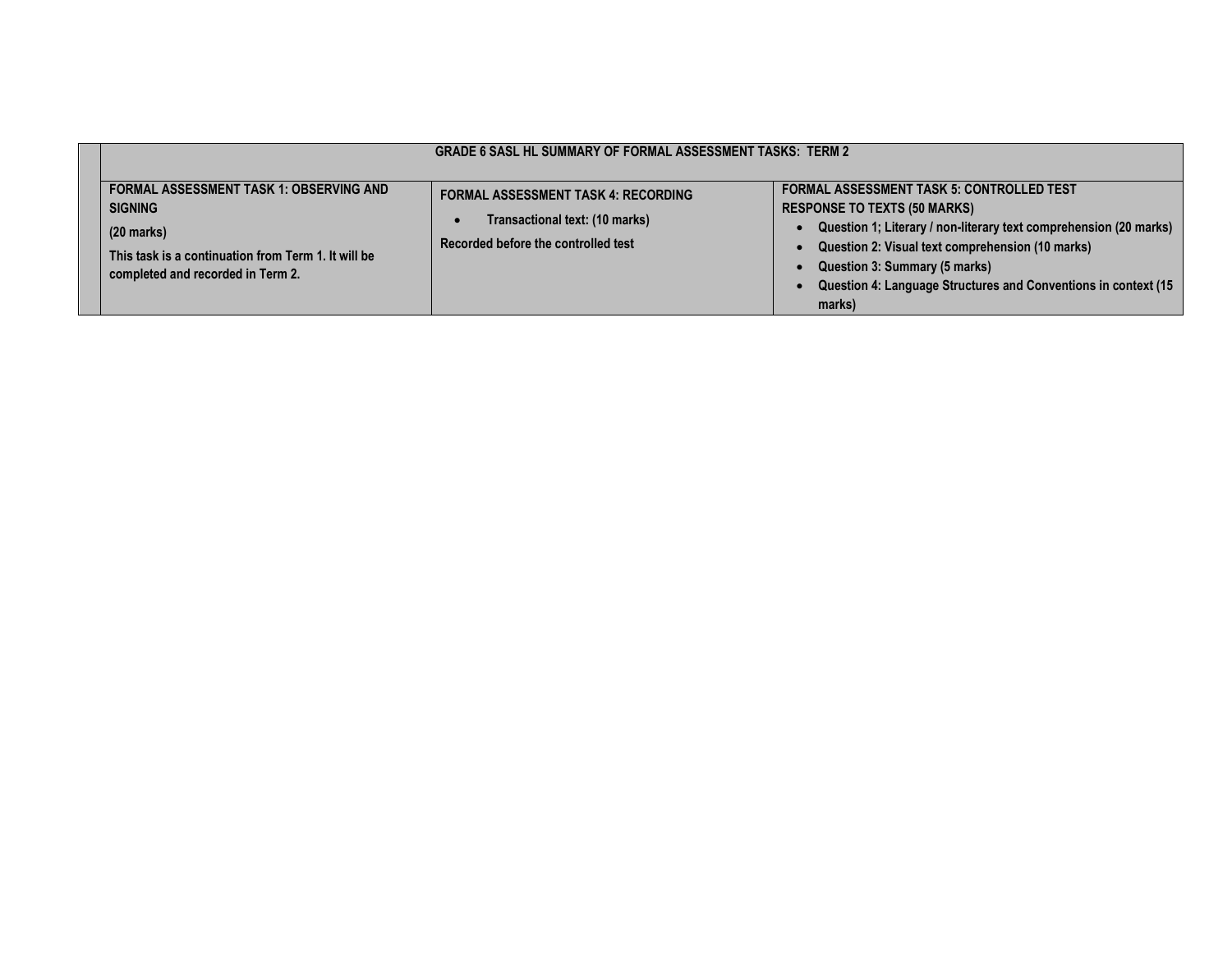|                                                                                                                                                                                      | <b>GRADE 6 SASL HL SUMMARY OF FORMAL ASSESSMENT TASKS: TERM 2</b>                                                   |                                                                                                                                                                                                                                                                                                                               |
|--------------------------------------------------------------------------------------------------------------------------------------------------------------------------------------|---------------------------------------------------------------------------------------------------------------------|-------------------------------------------------------------------------------------------------------------------------------------------------------------------------------------------------------------------------------------------------------------------------------------------------------------------------------|
| <b>FORMAL ASSESSMENT TASK 1: OBSERVING AND</b><br><b>SIGNING</b><br>$(20 \text{ marks})$<br>This task is a continuation from Term 1. It will be<br>completed and recorded in Term 2. | <b>FORMAL ASSESSMENT TASK 4: RECORDING</b><br>Transactional text: (10 marks)<br>Recorded before the controlled test | <b>FORMAL ASSESSMENT TASK 5: CONTROLLED TEST</b><br><b>RESPONSE TO TEXTS (50 MARKS)</b><br>Question 1; Literary / non-literary text comprehension (20 marks)<br>Question 2: Visual text comprehension (10 marks)<br>Question 3: Summary (5 marks)<br>Question 4: Language Structures and Conventions in context (15<br>marks) |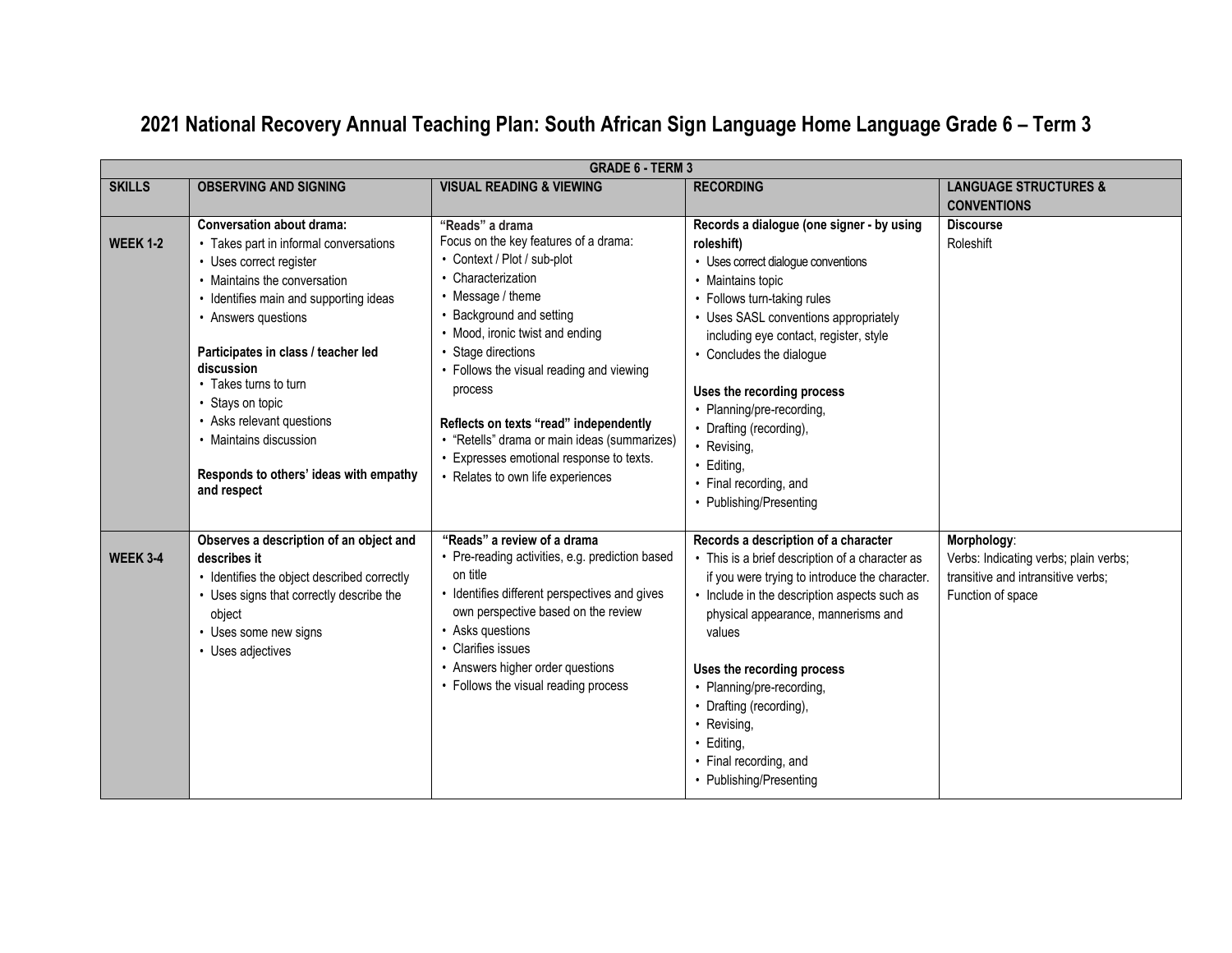|                 | <b>GRADE 6 - TERM 3</b>                                                                                                                                                                                                                                                                                                                                                                                           |                                                                                                                                                                                                                                                                                                                                                                                                                                                       |                                                                                                                                                                                                                                                                                                                                                                                                                                         |                                                                                                                 |  |
|-----------------|-------------------------------------------------------------------------------------------------------------------------------------------------------------------------------------------------------------------------------------------------------------------------------------------------------------------------------------------------------------------------------------------------------------------|-------------------------------------------------------------------------------------------------------------------------------------------------------------------------------------------------------------------------------------------------------------------------------------------------------------------------------------------------------------------------------------------------------------------------------------------------------|-----------------------------------------------------------------------------------------------------------------------------------------------------------------------------------------------------------------------------------------------------------------------------------------------------------------------------------------------------------------------------------------------------------------------------------------|-----------------------------------------------------------------------------------------------------------------|--|
| <b>SKILLS</b>   | <b>OBSERVING AND SIGNING</b>                                                                                                                                                                                                                                                                                                                                                                                      | <b>VISUAL READING &amp; VIEWING</b>                                                                                                                                                                                                                                                                                                                                                                                                                   | <b>RECORDING</b>                                                                                                                                                                                                                                                                                                                                                                                                                        | <b>LANGUAGE STRUCTURES &amp;</b><br><b>CONVENTIONS</b>                                                          |  |
| <b>WEEK 1-2</b> | Conversation about drama:<br>• Takes part in informal conversations<br>• Uses correct register<br>• Maintains the conversation<br>• Identifies main and supporting ideas<br>• Answers questions<br>Participates in class / teacher led<br>discussion<br>• Takes turns to turn<br>• Stays on topic<br>• Asks relevant questions<br>• Maintains discussion<br>Responds to others' ideas with empathy<br>and respect | "Reads" a drama<br>Focus on the key features of a drama:<br>• Context / Plot / sub-plot<br>• Characterization<br>• Message / theme<br>Background and setting<br>• Mood, ironic twist and ending<br>Stage directions<br>• Follows the visual reading and viewing<br>process<br>Reflects on texts "read" independently<br>· "Retells" drama or main ideas (summarizes)<br>• Expresses emotional response to texts.<br>• Relates to own life experiences | Records a dialogue (one signer - by using<br>roleshift)<br>• Uses correct dialogue conventions<br>• Maintains topic<br>• Follows turn-taking rules<br>• Uses SASL conventions appropriately<br>including eye contact, register, style<br>• Concludes the dialogue<br>Uses the recording process<br>• Planning/pre-recording,<br>• Drafting (recording),<br>• Revising,<br>Editing,<br>• Final recording, and<br>• Publishing/Presenting | <b>Discourse</b><br>Roleshift                                                                                   |  |
| <b>WEEK 3-4</b> | Observes a description of an object and<br>describes it<br>• Identifies the object described correctly<br>• Uses signs that correctly describe the<br>object<br>• Uses some new signs<br>• Uses adjectives                                                                                                                                                                                                        | "Reads" a review of a drama<br>• Pre-reading activities, e.g. prediction based<br>on title<br>• Identifies different perspectives and gives<br>own perspective based on the review<br>• Asks questions<br>• Clarifies issues<br>• Answers higher order questions<br>• Follows the visual reading process                                                                                                                                              | Records a description of a character<br>• This is a brief description of a character as<br>if you were trying to introduce the character.<br>• Include in the description aspects such as<br>physical appearance, mannerisms and<br>values<br>Uses the recording process<br>• Planning/pre-recording,<br>• Drafting (recording),<br>• Revising,<br>Editing,<br>$\bullet$<br>• Final recording, and<br>• Publishing/Presenting           | Morphology:<br>Verbs: Indicating verbs; plain verbs;<br>transitive and intransitive verbs;<br>Function of space |  |

# **2021 National Recovery Annual Teaching Plan: South African Sign Language Home Language Grade 6 – Term 3**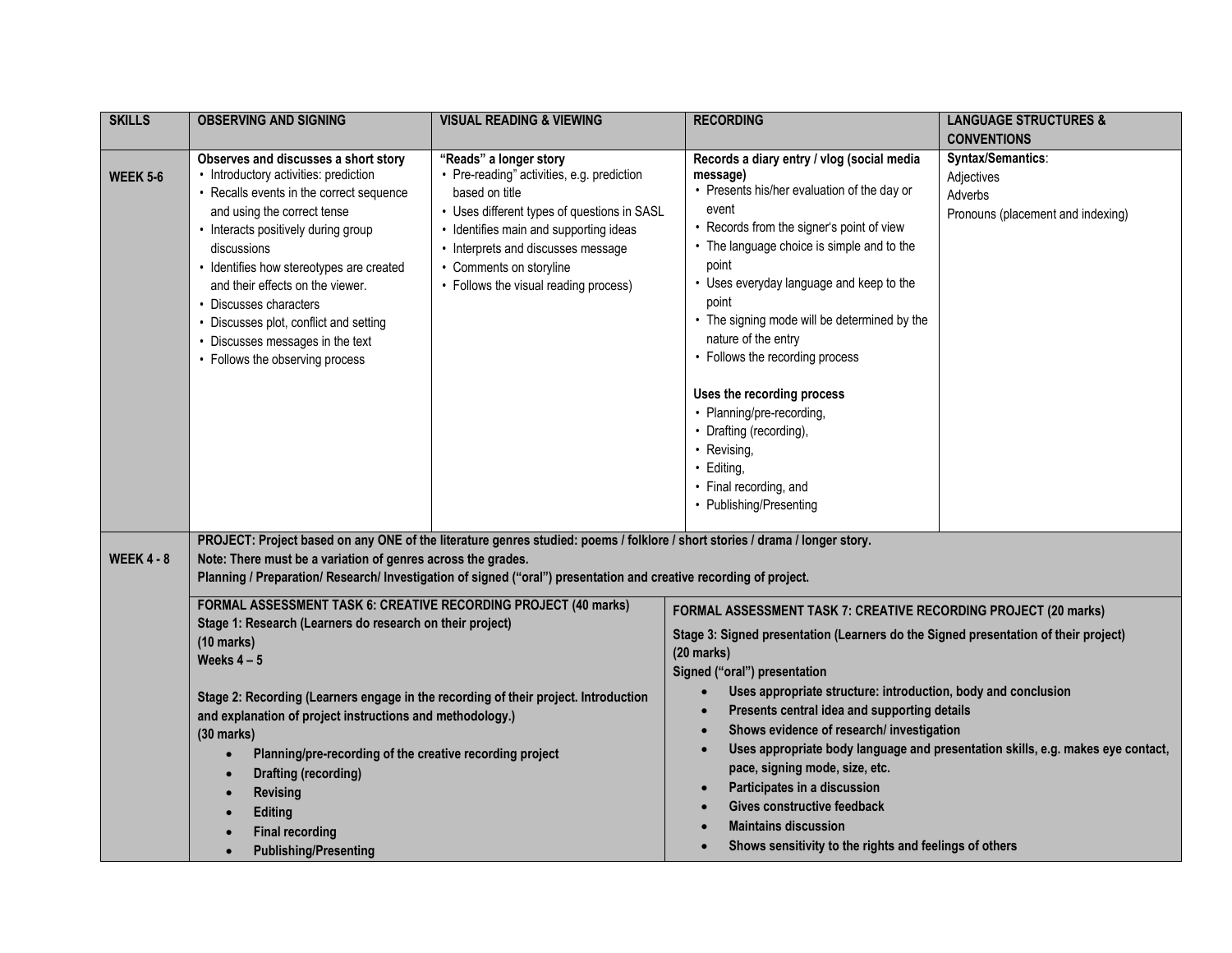| <b>SKILLS</b>     | <b>OBSERVING AND SIGNING</b>                                                                                                                                                                                                                                                                                                                                                                                                                                                                                               | <b>VISUAL READING &amp; VIEWING</b>                                                                                                                                                                                                                                                       | <b>RECORDING</b>                                                                                                                                                                                                                                                                                                                                                                                                                                                                                                                                                            | <b>LANGUAGE STRUCTURES &amp;</b>                                                |
|-------------------|----------------------------------------------------------------------------------------------------------------------------------------------------------------------------------------------------------------------------------------------------------------------------------------------------------------------------------------------------------------------------------------------------------------------------------------------------------------------------------------------------------------------------|-------------------------------------------------------------------------------------------------------------------------------------------------------------------------------------------------------------------------------------------------------------------------------------------|-----------------------------------------------------------------------------------------------------------------------------------------------------------------------------------------------------------------------------------------------------------------------------------------------------------------------------------------------------------------------------------------------------------------------------------------------------------------------------------------------------------------------------------------------------------------------------|---------------------------------------------------------------------------------|
|                   |                                                                                                                                                                                                                                                                                                                                                                                                                                                                                                                            |                                                                                                                                                                                                                                                                                           |                                                                                                                                                                                                                                                                                                                                                                                                                                                                                                                                                                             | <b>CONVENTIONS</b>                                                              |
| <b>WEEK 5-6</b>   | Observes and discusses a short story<br>• Introductory activities: prediction<br>• Recalls events in the correct sequence<br>and using the correct tense<br>• Interacts positively during group<br>discussions<br>• Identifies how stereotypes are created<br>and their effects on the viewer.<br>• Discusses characters<br>• Discusses plot, conflict and setting<br>• Discusses messages in the text<br>• Follows the observing process                                                                                  | "Reads" a longer story<br>• Pre-reading" activities, e.g. prediction<br>based on title<br>• Uses different types of questions in SASL<br>• Identifies main and supporting ideas<br>• Interprets and discusses message<br>• Comments on storyline<br>• Follows the visual reading process) | Records a diary entry / vlog (social media<br>message)<br>• Presents his/her evaluation of the day or<br>event<br>• Records from the signer's point of view<br>• The language choice is simple and to the<br>point<br>• Uses everyday language and keep to the<br>point<br>• The signing mode will be determined by the<br>nature of the entry<br>• Follows the recording process<br>Uses the recording process<br>• Planning/pre-recording,<br>• Drafting (recording),<br>• Revising,<br>· Editing,<br>• Final recording, and<br>• Publishing/Presenting                   | Syntax/Semantics:<br>Adjectives<br>Adverbs<br>Pronouns (placement and indexing) |
| <b>WEEK 4 - 8</b> | Note: There must be a variation of genres across the grades.                                                                                                                                                                                                                                                                                                                                                                                                                                                               | PROJECT: Project based on any ONE of the literature genres studied: poems / folklore / short stories / drama / longer story.<br>Planning / Preparation/ Research/ Investigation of signed ("oral") presentation and creative recording of project.                                        |                                                                                                                                                                                                                                                                                                                                                                                                                                                                                                                                                                             |                                                                                 |
|                   | FORMAL ASSESSMENT TASK 6: CREATIVE RECORDING PROJECT (40 marks)<br>Stage 1: Research (Learners do research on their project)<br>$(10 \text{ marks})$<br>Weeks $4-5$<br>Stage 2: Recording (Learners engage in the recording of their project. Introduction<br>and explanation of project instructions and methodology.)<br>$(30$ marks)<br>Planning/pre-recording of the creative recording project<br>Drafting (recording)<br><b>Revising</b><br><b>Editing</b><br><b>Final recording</b><br><b>Publishing/Presenting</b> |                                                                                                                                                                                                                                                                                           | FORMAL ASSESSMENT TASK 7: CREATIVE RECORDING PROJECT (20 marks)<br>Stage 3: Signed presentation (Learners do the Signed presentation of their project)<br>$(20$ marks)<br>Signed ("oral") presentation<br>Uses appropriate structure: introduction, body and conclusion<br>Presents central idea and supporting details<br>Shows evidence of research/ investigation<br>pace, signing mode, size, etc.<br>Participates in a discussion<br>$\bullet$<br>Gives constructive feedback<br><b>Maintains discussion</b><br>Shows sensitivity to the rights and feelings of others | Uses appropriate body language and presentation skills, e.g. makes eye contact, |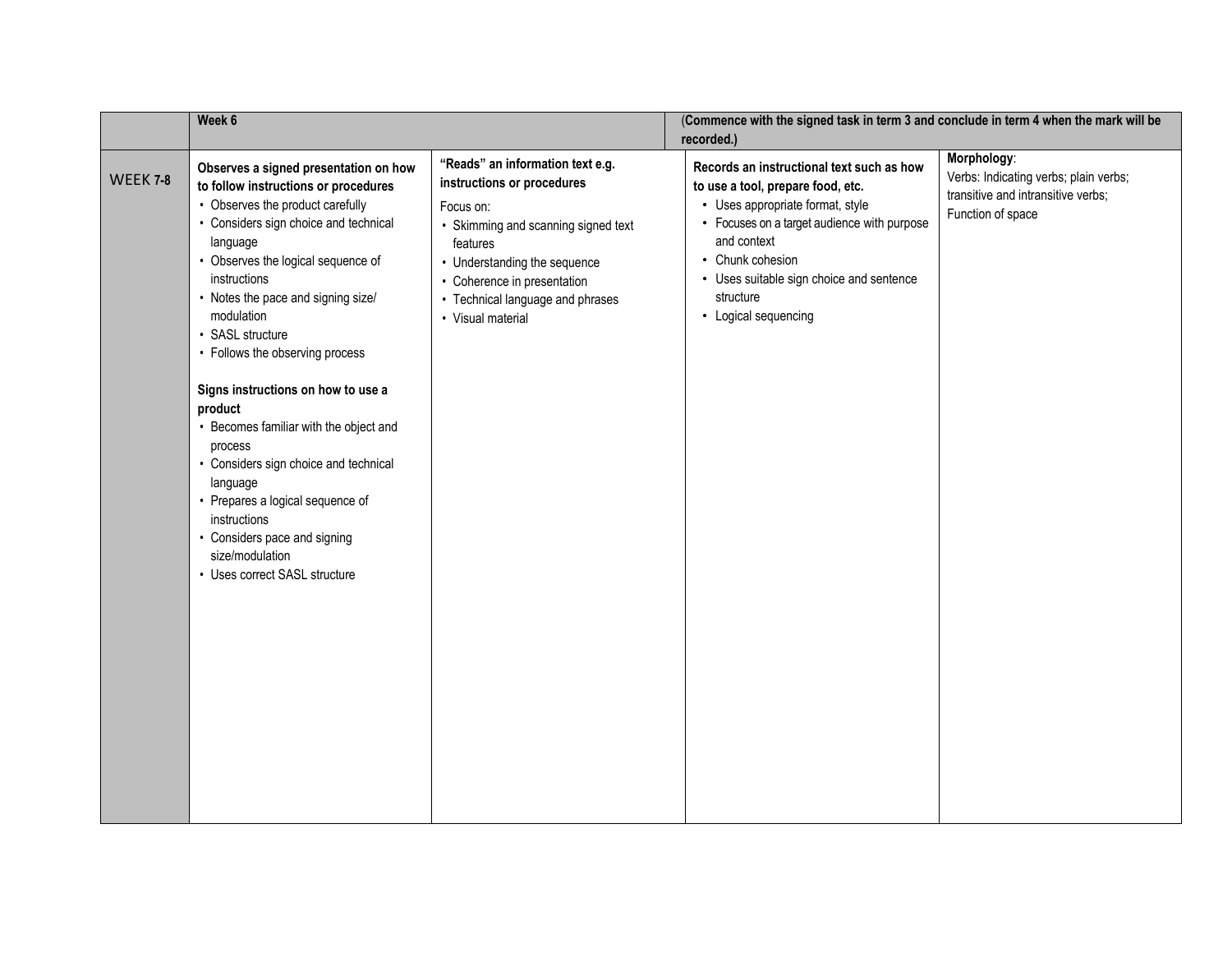|                 | Week 6                                                                                                                                                                                                                                                                                                                                                                                                                                                                                                                                                                                                                                     |                                                                                                                                                                                                                                                        | (Commence with the signed task in term 3 and conclude in term 4 when the mark will be<br>recorded.)                                                                                                                                                                                   |                                                                                                                 |
|-----------------|--------------------------------------------------------------------------------------------------------------------------------------------------------------------------------------------------------------------------------------------------------------------------------------------------------------------------------------------------------------------------------------------------------------------------------------------------------------------------------------------------------------------------------------------------------------------------------------------------------------------------------------------|--------------------------------------------------------------------------------------------------------------------------------------------------------------------------------------------------------------------------------------------------------|---------------------------------------------------------------------------------------------------------------------------------------------------------------------------------------------------------------------------------------------------------------------------------------|-----------------------------------------------------------------------------------------------------------------|
| <b>WEEK 7-8</b> | Observes a signed presentation on how<br>to follow instructions or procedures<br>• Observes the product carefully<br>• Considers sign choice and technical<br>language<br>• Observes the logical sequence of<br>instructions<br>• Notes the pace and signing size/<br>modulation<br>• SASL structure<br>• Follows the observing process<br>Signs instructions on how to use a<br>product<br>• Becomes familiar with the object and<br>process<br>• Considers sign choice and technical<br>language<br>• Prepares a logical sequence of<br>instructions<br>• Considers pace and signing<br>size/modulation<br>• Uses correct SASL structure | "Reads" an information text e.g.<br>instructions or procedures<br>Focus on:<br>• Skimming and scanning signed text<br>features<br>• Understanding the sequence<br>• Coherence in presentation<br>• Technical language and phrases<br>• Visual material | Records an instructional text such as how<br>to use a tool, prepare food, etc.<br>• Uses appropriate format, style<br>• Focuses on a target audience with purpose<br>and context<br>• Chunk cohesion<br>• Uses suitable sign choice and sentence<br>structure<br>• Logical sequencing | Morphology:<br>Verbs: Indicating verbs; plain verbs;<br>transitive and intransitive verbs;<br>Function of space |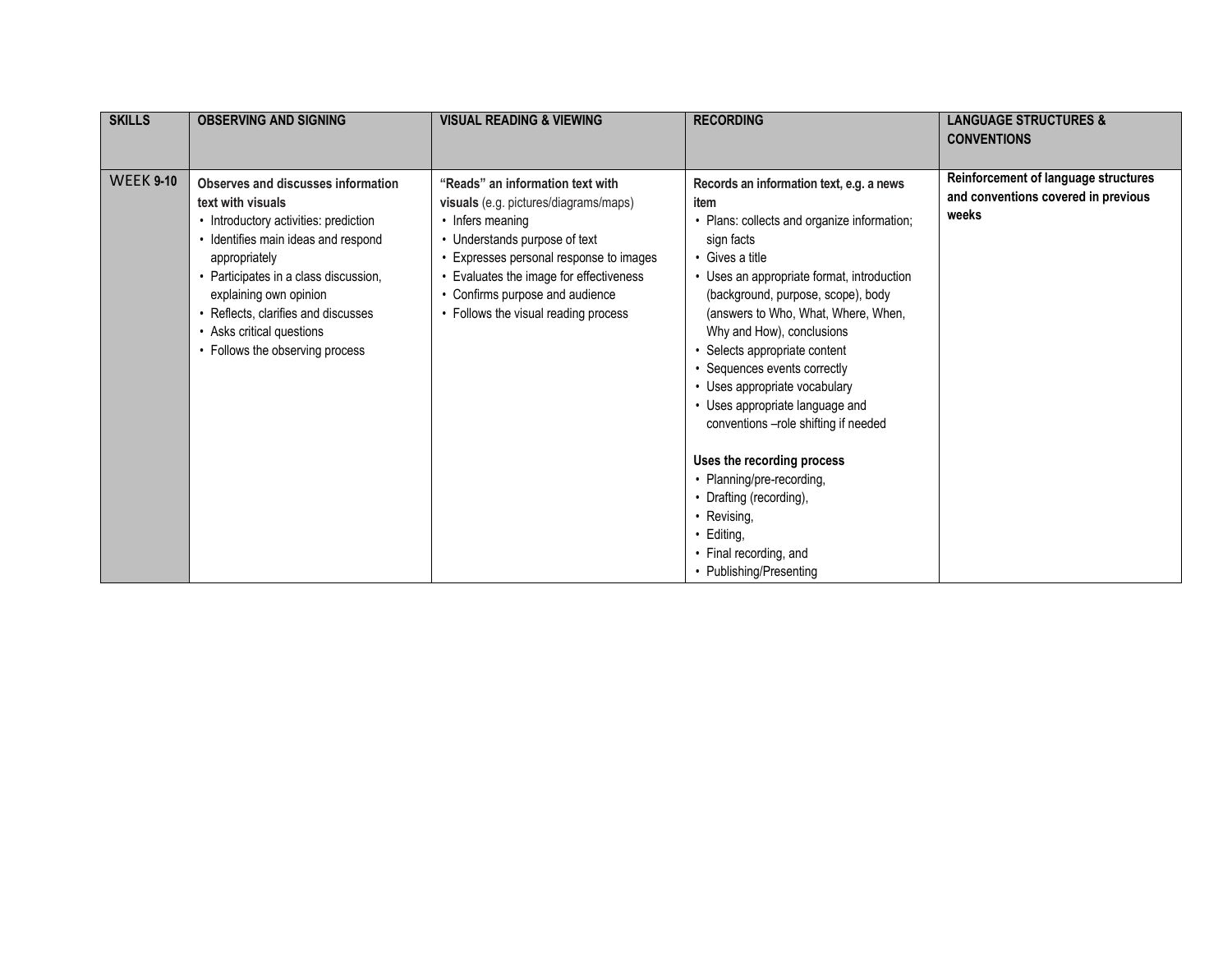| <b>SKILLS</b>    | <b>OBSERVING AND SIGNING</b>                                                                                                                                                                                                                                                                                                       | <b>VISUAL READING &amp; VIEWING</b>                                                                                                                                                                                                                                                         | <b>RECORDING</b>                                                                                                                                                                                                                                                                                                                                                                                                                                                                                                                                                                                                                              | <b>LANGUAGE STRUCTURES &amp;</b><br><b>CONVENTIONS</b>                               |
|------------------|------------------------------------------------------------------------------------------------------------------------------------------------------------------------------------------------------------------------------------------------------------------------------------------------------------------------------------|---------------------------------------------------------------------------------------------------------------------------------------------------------------------------------------------------------------------------------------------------------------------------------------------|-----------------------------------------------------------------------------------------------------------------------------------------------------------------------------------------------------------------------------------------------------------------------------------------------------------------------------------------------------------------------------------------------------------------------------------------------------------------------------------------------------------------------------------------------------------------------------------------------------------------------------------------------|--------------------------------------------------------------------------------------|
| <b>WEEK 9-10</b> | Observes and discusses information<br>text with visuals<br>• Introductory activities: prediction<br>• Identifies main ideas and respond<br>appropriately<br>• Participates in a class discussion,<br>explaining own opinion<br>• Reflects, clarifies and discusses<br>• Asks critical questions<br>• Follows the observing process | "Reads" an information text with<br>visuals (e.g. pictures/diagrams/maps)<br>• Infers meaning<br>• Understands purpose of text<br>Expresses personal response to images<br>Evaluates the image for effectiveness<br>• Confirms purpose and audience<br>• Follows the visual reading process | Records an information text, e.g. a news<br>item<br>• Plans: collects and organize information;<br>sign facts<br>• Gives a title<br>• Uses an appropriate format, introduction<br>(background, purpose, scope), body<br>(answers to Who, What, Where, When,<br>Why and How), conclusions<br>• Selects appropriate content<br>• Sequences events correctly<br>• Uses appropriate vocabulary<br>• Uses appropriate language and<br>conventions -role shifting if needed<br>Uses the recording process<br>• Planning/pre-recording,<br>• Drafting (recording),<br>• Revising,<br>• Editing,<br>• Final recording, and<br>• Publishing/Presenting | Reinforcement of language structures<br>and conventions covered in previous<br>weeks |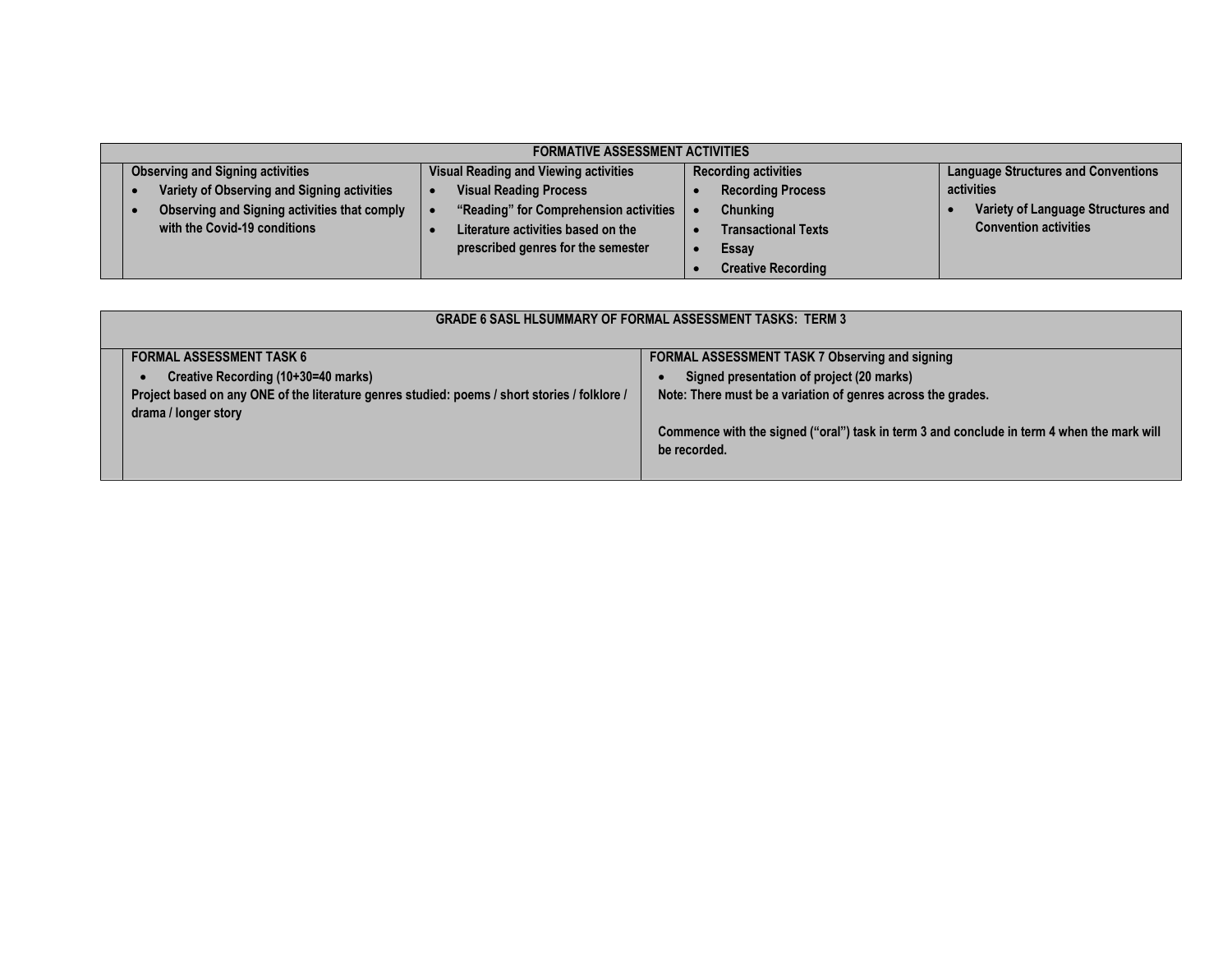| <b>FORMATIVE ASSESSMENT ACTIVITIES</b>       |                                        |                             |                                            |  |
|----------------------------------------------|----------------------------------------|-----------------------------|--------------------------------------------|--|
| <b>Observing and Signing activities</b>      | Visual Reading and Viewing activities  | <b>Recording activities</b> | <b>Language Structures and Conventions</b> |  |
| Variety of Observing and Signing activities  | <b>Visual Reading Process</b>          | <b>Recording Process</b>    | activities                                 |  |
| Observing and Signing activities that comply | "Reading" for Comprehension activities | <b>Chunking</b>             | Variety of Language Structures and         |  |
| with the Covid-19 conditions                 | Literature activities based on the     | <b>Transactional Texts</b>  | <b>Convention activities</b>               |  |
|                                              | prescribed genres for the semester     | Essay                       |                                            |  |
|                                              |                                        | <b>Creative Recording</b>   |                                            |  |

| <b>GRADE 6 SASL HLSUMMARY OF FORMAL ASSESSMENT TASKS: TERM 3</b>                              |                                                                                            |  |  |
|-----------------------------------------------------------------------------------------------|--------------------------------------------------------------------------------------------|--|--|
| <b>FORMAL ASSESSMENT TASK 6</b>                                                               | <b>FORMAL ASSESSMENT TASK 7 Observing and signing</b>                                      |  |  |
| Creative Recording (10+30=40 marks)                                                           | Signed presentation of project (20 marks)                                                  |  |  |
| Project based on any ONE of the literature genres studied: poems / short stories / folklore / | Note: There must be a variation of genres across the grades.                               |  |  |
| drama / longer story                                                                          |                                                                                            |  |  |
|                                                                                               | Commence with the signed ("oral") task in term 3 and conclude in term 4 when the mark will |  |  |
|                                                                                               | be recorded.                                                                               |  |  |
|                                                                                               |                                                                                            |  |  |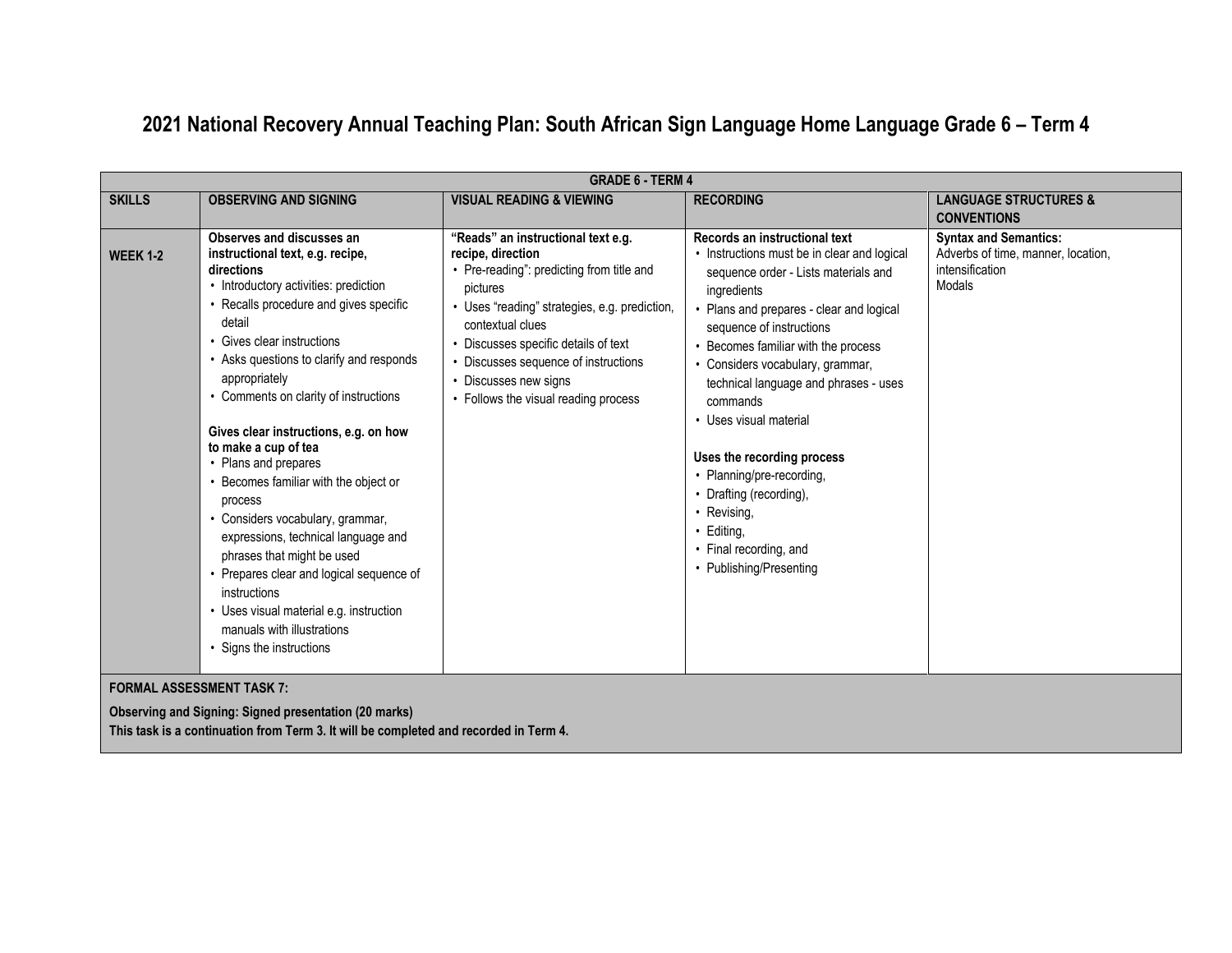### **2021 National Recovery Annual Teaching Plan: South African Sign Language Home Language Grade 6 – Term 4**

|                 | <b>GRADE 6 - TERM 4</b>                                                                                                                                                                                                                                                                                                                                                                                                                                                                                                                                                                                                                                                                                                             |                                                                                                                                                                                                                                                                                                                                      |                                                                                                                                                                                                                                                                                                                                                                                                                                                                                                                                               |                                                                                                 |
|-----------------|-------------------------------------------------------------------------------------------------------------------------------------------------------------------------------------------------------------------------------------------------------------------------------------------------------------------------------------------------------------------------------------------------------------------------------------------------------------------------------------------------------------------------------------------------------------------------------------------------------------------------------------------------------------------------------------------------------------------------------------|--------------------------------------------------------------------------------------------------------------------------------------------------------------------------------------------------------------------------------------------------------------------------------------------------------------------------------------|-----------------------------------------------------------------------------------------------------------------------------------------------------------------------------------------------------------------------------------------------------------------------------------------------------------------------------------------------------------------------------------------------------------------------------------------------------------------------------------------------------------------------------------------------|-------------------------------------------------------------------------------------------------|
| <b>SKILLS</b>   | <b>OBSERVING AND SIGNING</b>                                                                                                                                                                                                                                                                                                                                                                                                                                                                                                                                                                                                                                                                                                        | <b>VISUAL READING &amp; VIEWING</b>                                                                                                                                                                                                                                                                                                  | <b>RECORDING</b>                                                                                                                                                                                                                                                                                                                                                                                                                                                                                                                              | <b>LANGUAGE STRUCTURES &amp;</b><br><b>CONVENTIONS</b>                                          |
| <b>WEEK 1-2</b> | Observes and discusses an<br>instructional text, e.g. recipe,<br>directions<br>• Introductory activities: prediction<br>• Recalls procedure and gives specific<br>detail<br>• Gives clear instructions<br>• Asks questions to clarify and responds<br>appropriately<br>• Comments on clarity of instructions<br>Gives clear instructions, e.g. on how<br>to make a cup of tea<br>• Plans and prepares<br>• Becomes familiar with the object or<br>process<br>• Considers vocabulary, grammar,<br>expressions, technical language and<br>phrases that might be used<br>• Prepares clear and logical sequence of<br>instructions<br>• Uses visual material e.g. instruction<br>manuals with illustrations<br>• Signs the instructions | "Reads" an instructional text e.g.<br>recipe, direction<br>• Pre-reading": predicting from title and<br>pictures<br>• Uses "reading" strategies, e.g. prediction,<br>contextual clues<br>• Discusses specific details of text<br>• Discusses sequence of instructions<br>Discusses new signs<br>• Follows the visual reading process | Records an instructional text<br>• Instructions must be in clear and logical<br>sequence order - Lists materials and<br>ingredients<br>• Plans and prepares - clear and logical<br>sequence of instructions<br>• Becomes familiar with the process<br>• Considers vocabulary, grammar,<br>technical language and phrases - uses<br>commands<br>• Uses visual material<br>Uses the recording process<br>• Planning/pre-recording,<br>• Drafting (recording),<br>• Revising,<br>• Editing,<br>• Final recording, and<br>• Publishing/Presenting | <b>Syntax and Semantics:</b><br>Adverbs of time, manner, location,<br>intensification<br>Modals |

#### **FORMAL ASSESSMENT TASK 7:**

**Observing and Signing: Signed presentation (20 marks) This task is a continuation from Term 3. It will be completed and recorded in Term 4.**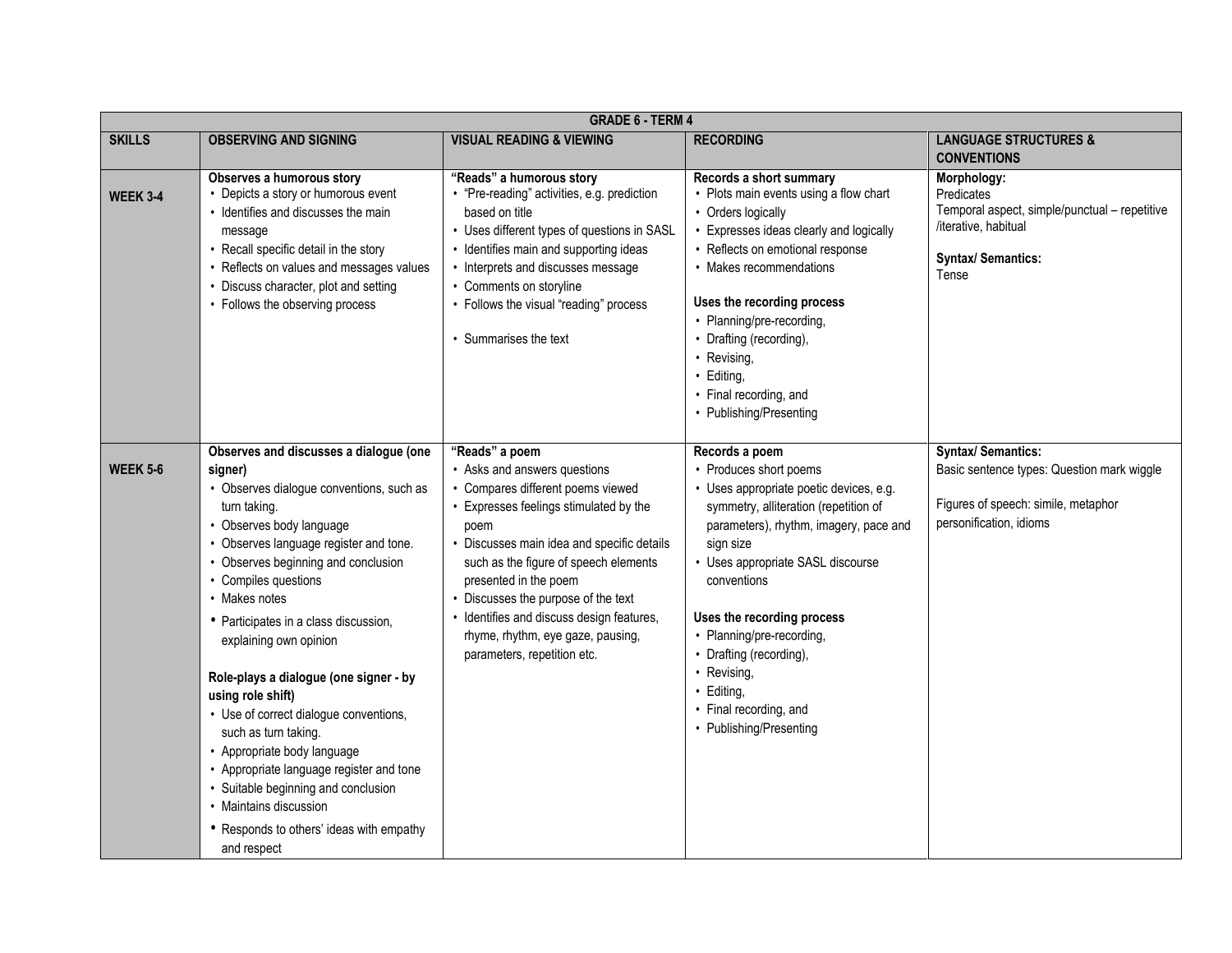|                 | <b>GRADE 6 - TERM 4</b>                                                                                                                                                                                                                                                                                                                                                                                                                                                                                                                                                                                                                                                        |                                                                                                                                                                                                                                                                                                                                                                                                           |                                                                                                                                                                                                                                                                                                                                                                                                                 |                                                                                                                                          |
|-----------------|--------------------------------------------------------------------------------------------------------------------------------------------------------------------------------------------------------------------------------------------------------------------------------------------------------------------------------------------------------------------------------------------------------------------------------------------------------------------------------------------------------------------------------------------------------------------------------------------------------------------------------------------------------------------------------|-----------------------------------------------------------------------------------------------------------------------------------------------------------------------------------------------------------------------------------------------------------------------------------------------------------------------------------------------------------------------------------------------------------|-----------------------------------------------------------------------------------------------------------------------------------------------------------------------------------------------------------------------------------------------------------------------------------------------------------------------------------------------------------------------------------------------------------------|------------------------------------------------------------------------------------------------------------------------------------------|
| <b>SKILLS</b>   | <b>OBSERVING AND SIGNING</b>                                                                                                                                                                                                                                                                                                                                                                                                                                                                                                                                                                                                                                                   | <b>VISUAL READING &amp; VIEWING</b>                                                                                                                                                                                                                                                                                                                                                                       | <b>RECORDING</b>                                                                                                                                                                                                                                                                                                                                                                                                | <b>LANGUAGE STRUCTURES &amp;</b><br><b>CONVENTIONS</b>                                                                                   |
| <b>WEEK 3-4</b> | Observes a humorous story<br>• Depicts a story or humorous event<br>• Identifies and discusses the main<br>message<br>• Recall specific detail in the story<br>• Reflects on values and messages values<br>• Discuss character, plot and setting<br>• Follows the observing process                                                                                                                                                                                                                                                                                                                                                                                            | "Reads" a humorous story<br>• "Pre-reading" activities, e.g. prediction<br>based on title<br>• Uses different types of questions in SASL<br>• Identifies main and supporting ideas<br>• Interprets and discusses message<br>• Comments on storyline<br>• Follows the visual "reading" process<br>• Summarises the text                                                                                    | Records a short summary<br>• Plots main events using a flow chart<br>• Orders logically<br>Expresses ideas clearly and logically<br>• Reflects on emotional response<br>• Makes recommendations<br>Uses the recording process<br>• Planning/pre-recording,<br>• Drafting (recording),<br>• Revising,<br>· Editing,<br>• Final recording, and<br>• Publishing/Presenting                                         | Morphology:<br>Predicates<br>Temporal aspect, simple/punctual - repetitive<br>/iterative, habitual<br><b>Syntax/ Semantics:</b><br>Tense |
| <b>WEEK 5-6</b> | Observes and discusses a dialogue (one<br>signer)<br>• Observes dialogue conventions, such as<br>turn taking.<br>• Observes body language<br>• Observes language register and tone.<br>• Observes beginning and conclusion<br>• Compiles questions<br>• Makes notes<br>• Participates in a class discussion,<br>explaining own opinion<br>Role-plays a dialogue (one signer - by<br>using role shift)<br>• Use of correct dialogue conventions,<br>such as turn taking.<br>• Appropriate body language<br>• Appropriate language register and tone<br>• Suitable beginning and conclusion<br>• Maintains discussion<br>• Responds to others' ideas with empathy<br>and respect | "Reads" a poem<br>• Asks and answers questions<br>• Compares different poems viewed<br>Expresses feelings stimulated by the<br>poem<br>• Discusses main idea and specific details<br>such as the figure of speech elements<br>presented in the poem<br>Discusses the purpose of the text<br>• Identifies and discuss design features,<br>rhyme, rhythm, eye gaze, pausing,<br>parameters, repetition etc. | Records a poem<br>• Produces short poems<br>· Uses appropriate poetic devices, e.g.<br>symmetry, alliteration (repetition of<br>parameters), rhythm, imagery, pace and<br>sign size<br>• Uses appropriate SASL discourse<br>conventions<br>Uses the recording process<br>• Planning/pre-recording,<br>• Drafting (recording),<br>• Revising,<br>· Editing,<br>• Final recording, and<br>• Publishing/Presenting | <b>Syntax/Semantics:</b><br>Basic sentence types: Question mark wiggle<br>Figures of speech: simile, metaphor<br>personification, idioms |